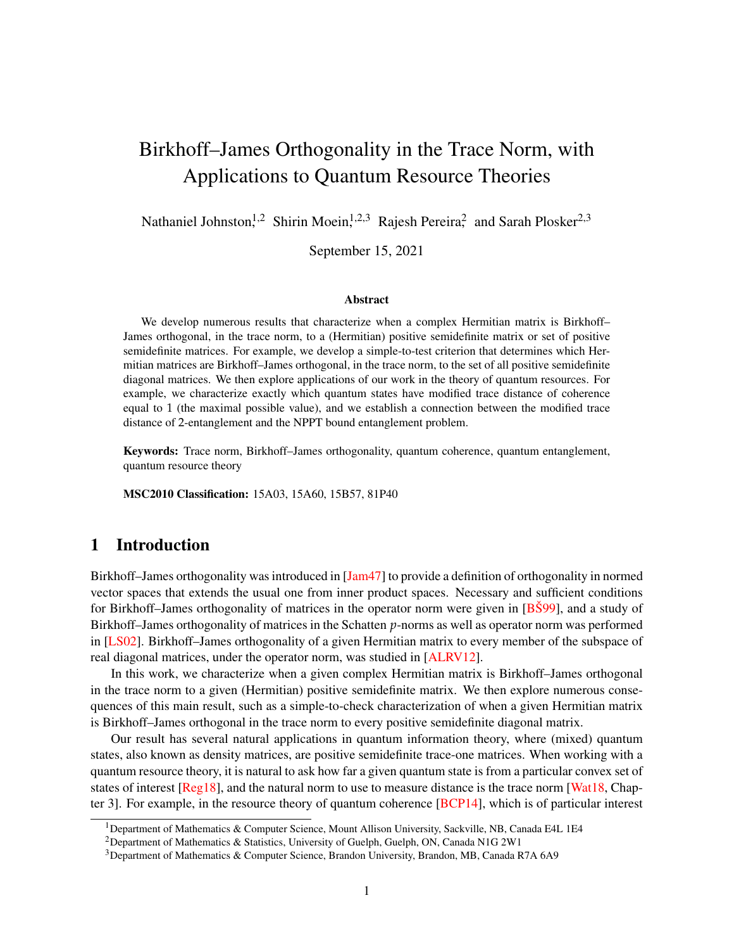# Birkhoff–James Orthogonality in the Trace Norm, with Applications to Quantum Resource Theories

Nathaniel Johnston,<sup>1,2</sup> Shirin Moein,<sup>1,2,3</sup> Rajesh Pereira<sup>2</sup> and Sarah Plosker<sup>2,3</sup>

September 15, 2021

#### Abstract

We develop numerous results that characterize when a complex Hermitian matrix is Birkhoff– James orthogonal, in the trace norm, to a (Hermitian) positive semidefinite matrix or set of positive semidefinite matrices. For example, we develop a simple-to-test criterion that determines which Hermitian matrices are Birkhoff–James orthogonal, in the trace norm, to the set of all positive semidefinite diagonal matrices. We then explore applications of our work in the theory of quantum resources. For example, we characterize exactly which quantum states have modified trace distance of coherence equal to 1 (the maximal possible value), and we establish a connection between the modified trace distance of 2-entanglement and the NPPT bound entanglement problem.

Keywords: Trace norm, Birkhoff–James orthogonality, quantum coherence, quantum entanglement, quantum resource theory

MSC2010 Classification: 15A03, 15A60, 15B57, 81P40

# 1 Introduction

Birkhoff–James orthogonality was introduced in [\[Jam47\]](#page-16-0) to provide a definition of orthogonality in normed vector spaces that extends the usual one from inner product spaces. Necessary and sufficient conditions for Birkhoff–James orthogonality of matrices in the operator norm were given in [\[BŠ99\]](#page-15-0), and a study of Birkhoff–James orthogonality of matrices in the Schatten *p*-norms as well as operator norm was performed in [\[LS02\]](#page-16-1). Birkhoff–James orthogonality of a given Hermitian matrix to every member of the subspace of real diagonal matrices, under the operator norm, was studied in [\[ALRV12\]](#page-15-1).

In this work, we characterize when a given complex Hermitian matrix is Birkhoff–James orthogonal in the trace norm to a given (Hermitian) positive semidefinite matrix. We then explore numerous consequences of this main result, such as a simple-to-check characterization of when a given Hermitian matrix is Birkhoff–James orthogonal in the trace norm to every positive semidefinite diagonal matrix.

Our result has several natural applications in quantum information theory, where (mixed) quantum states, also known as density matrices, are positive semidefinite trace-one matrices. When working with a quantum resource theory, it is natural to ask how far a given quantum state is from a particular convex set of states of interest [\[Reg18\]](#page-16-2), and the natural norm to use to measure distance is the trace norm [\[Wat18,](#page-17-0) Chapter 3]. For example, in the resource theory of quantum coherence [\[BCP14\]](#page-15-2), which is of particular interest

<sup>1</sup>Department of Mathematics & Computer Science, Mount Allison University, Sackville, NB, Canada E4L 1E4

<sup>&</sup>lt;sup>2</sup>Department of Mathematics & Statistics, University of Guelph, Guelph, ON, Canada N1G 2W1

<sup>&</sup>lt;sup>3</sup>Department of Mathematics & Computer Science, Brandon University, Brandon, MB, Canada R7A 6A9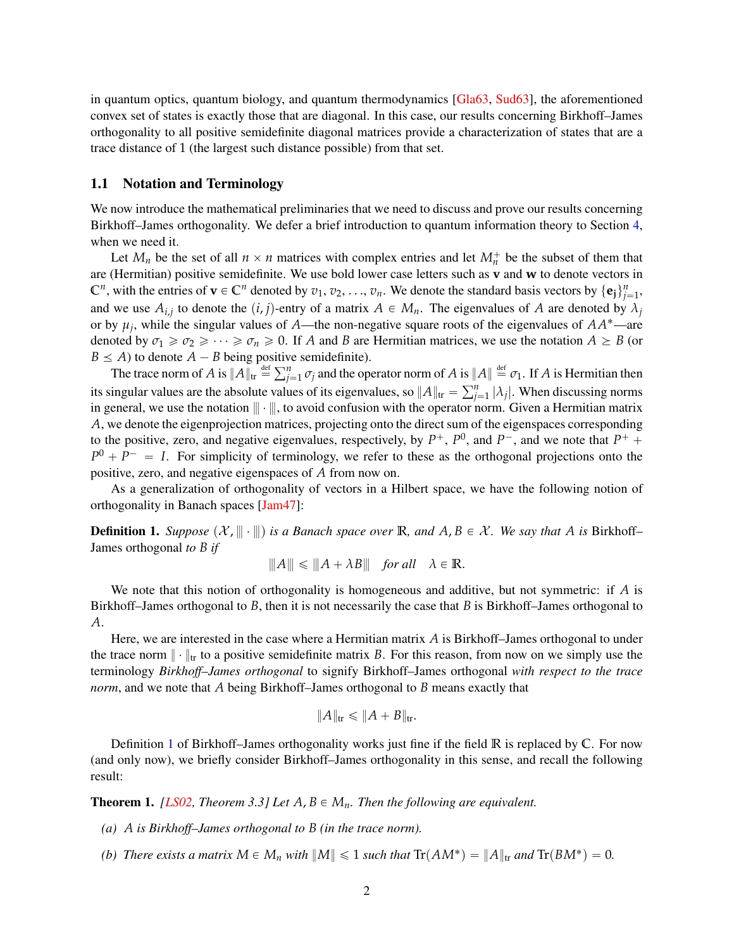in quantum optics, quantum biology, and quantum thermodynamics [\[Gla63,](#page-15-3) [Sud63\]](#page-17-1), the aforementioned convex set of states is exactly those that are diagonal. In this case, our results concerning Birkhoff–James orthogonality to all positive semidefinite diagonal matrices provide a characterization of states that are a trace distance of 1 (the largest such distance possible) from that set.

### 1.1 Notation and Terminology

We now introduce the mathematical preliminaries that we need to discuss and prove our results concerning Birkhoff–James orthogonality. We defer a brief introduction to quantum information theory to Section [4,](#page-7-0) when we need it.

Let  $M_n$  be the set of all  $n \times n$  matrices with complex entries and let  $M_n^+$  be the subset of them that are (Hermitian) positive semidefinite. We use bold lower case letters such as **v** and **w** to denote vectors in  $\mathbb{C}^n$ , with the entries of  $\mathbf{v} \in \mathbb{C}^n$  denoted by  $v_1, v_2, \ldots, v_n$ . We denote the standard basis vectors by  $\{\mathbf{e}_j\}_{j=1}^n$ , and we use  $A_{i,j}$  to denote the  $(i, j)$ -entry of a matrix  $A \in M_n$ . The eigenvalues of *A* are denoted by  $\lambda_j$ or by  $\mu_j$ , while the singular values of *A*—the non-negative square roots of the eigenvalues of  $AA^*$ —are denoted by  $\sigma_1 \geq \sigma_2 \geq \cdots \geq \sigma_n \geq 0$ . If *A* and *B* are Hermitian matrices, we use the notation  $A \geq B$  (or  $B \leq A$ ) to denote  $A - B$  being positive semidefinite).

 $\mathcal{A}$  a 1 to denote  $A - B$  being positive.<br>The trace norm of  $A$  is  $\|A\|_{\text{tr}} \stackrel{\text{def}}{=} \sum_{j=1}^{n}$  $\int_{j=1}^{n} \sigma_j$  and the operator norm of *A* is  $\|A\| \stackrel{\text{def}}{=} \sigma_1$ . If *A* is Hermitian then its singular values are the absolute values of its eigenvalues, so  $||A||_{tr} = \sum_{j=1}^{n}$ tr  $||A||_{tr}$  "  $\sum_{j=1}^{n} |\lambda_j|$ . When discussing norms in general, we use the notation  $\|\cdot\|$ , to avoid confusion with the operator norm. Given a Hermitian matrix *A*, we denote the eigenprojection matrices, projecting onto the direct sum of the eigenspaces corresponding to the positive, zero, and negative eigenvalues, respectively, by  $P^+$ ,  $P^0$ , and  $P^-$ , and we note that  $P^+$  +  $P^0 + P^- = I$ . For simplicity of terminology, we refer to these as the orthogonal projections onto the positive, zero, and negative eigenspaces of *A* from now on.

As a generalization of orthogonality of vectors in a Hilbert space, we have the following notion of orthogonality in Banach spaces [\[Jam47\]](#page-16-0):

<span id="page-1-0"></span>**Definition 1.** *Suppose*  $(X, \|\cdot\|)$  *is a Banach space over* **R***, and*  $A, B \in \mathcal{X}$ *. We say that* A *is* Birkhoff– James orthogonal *to B if*

$$
|||A||| \le |||A + \lambda B|| \quad \text{for all} \quad \lambda \in \mathbb{R}.
$$

We note that this notion of orthogonality is homogeneous and additive, but not symmetric: if *A* is Birkhoff–James orthogonal to *B*, then it is not necessarily the case that *B* is Birkhoff–James orthogonal to *A*.

Here, we are interested in the case where a Hermitian matrix *A* is Birkhoff–James orthogonal to under the trace norm  $\|\cdot\|_{tr}$  to a positive semidefinite matrix *B*. For this reason, from now on we simply use the terminology *Birkhoff–James orthogonal* to signify Birkhoff–James orthogonal *with respect to the trace norm*, and we note that *A* being Birkhoff–James orthogonal to *B* means exactly that

$$
||A||_{\text{tr}} \leq ||A + B||_{\text{tr}}.
$$

Definition [1](#page-1-0) of Birkhoff–James orthogonality works just fine if the field **R** is replaced by **C**. For now (and only now), we briefly consider Birkhoff–James orthogonality in this sense, and recall the following result:

<span id="page-1-1"></span>**Theorem 1.** *[\[LS02,](#page-16-1) Theorem 3.3] Let*  $A, B \in M_n$ *. Then the following are equivalent.* 

- *(a) A is Birkhoff–James orthogonal to B (in the trace norm).*
- *(b) There exists a matrix*  $M \in M_n$  *with*  $||M|| \leq 1$  *such that*  $Tr(AM^*) = ||A||_{tr}$  *and*  $Tr(BM^*) = 0$ *.*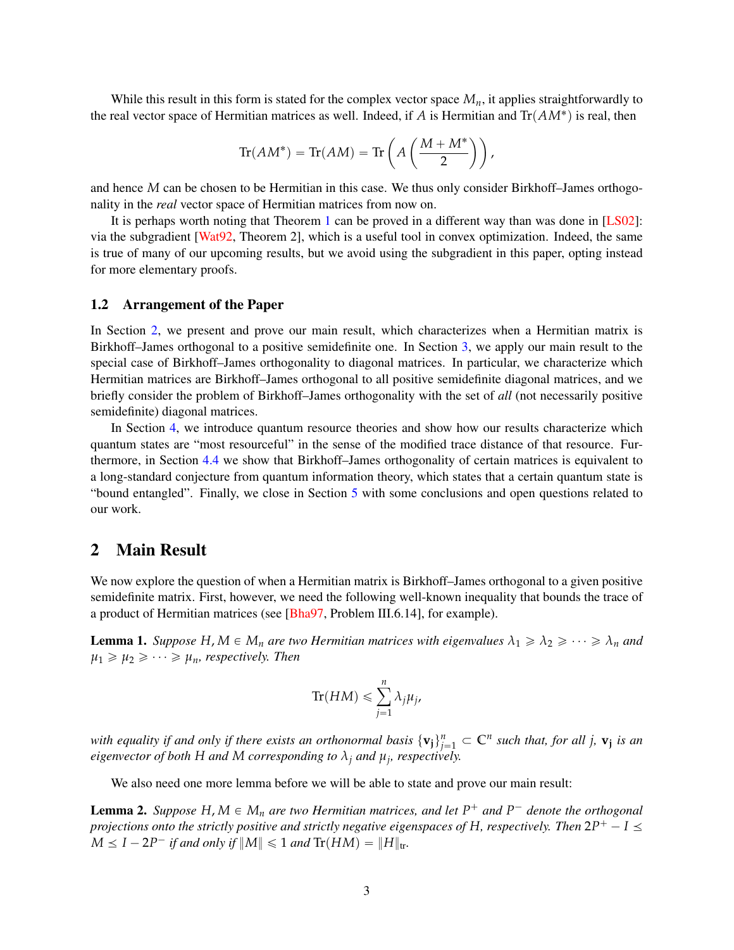While this result in this form is stated for the complex vector space  $M<sub>n</sub>$ , it applies straightforwardly to the real vector space of Hermitian matrices as well. Indeed, if  $A$  is Hermitian and  $\text{Tr}(AM^*)$  is real, then

$$
\text{Tr}(AM^*) = \text{Tr}(AM) = \text{Tr}\left(A\left(\frac{M+M^*}{2}\right)\right),
$$

and hence *M* can be chosen to be Hermitian in this case. We thus only consider Birkhoff–James orthogonality in the *real* vector space of Hermitian matrices from now on.

It is perhaps worth noting that Theorem [1](#page-1-1) can be proved in a different way than was done in [\[LS02\]](#page-16-1): via the subgradient [\[Wat92,](#page-17-2) Theorem 2], which is a useful tool in convex optimization. Indeed, the same is true of many of our upcoming results, but we avoid using the subgradient in this paper, opting instead for more elementary proofs.

#### 1.2 Arrangement of the Paper

In Section [2,](#page-2-0) we present and prove our main result, which characterizes when a Hermitian matrix is Birkhoff–James orthogonal to a positive semidefinite one. In Section [3,](#page-3-0) we apply our main result to the special case of Birkhoff–James orthogonality to diagonal matrices. In particular, we characterize which Hermitian matrices are Birkhoff–James orthogonal to all positive semidefinite diagonal matrices, and we briefly consider the problem of Birkhoff–James orthogonality with the set of *all* (not necessarily positive semidefinite) diagonal matrices.

In Section [4,](#page-7-0) we introduce quantum resource theories and show how our results characterize which quantum states are "most resourceful" in the sense of the modified trace distance of that resource. Furthermore, in Section [4.4](#page-13-0) we show that Birkhoff–James orthogonality of certain matrices is equivalent to a long-standard conjecture from quantum information theory, which states that a certain quantum state is "bound entangled". Finally, we close in Section [5](#page-14-0) with some conclusions and open questions related to our work.

## <span id="page-2-0"></span>2 Main Result

We now explore the question of when a Hermitian matrix is Birkhoff–James orthogonal to a given positive semidefinite matrix. First, however, we need the following well-known inequality that bounds the trace of a product of Hermitian matrices (see [\[Bha97,](#page-15-4) Problem III.6.14], for example).

<span id="page-2-1"></span>**Lemma 1.** *Suppose*  $H, M \in M_n$  *are two Hermitian matrices with eigenvalues*  $\lambda_1 \geq \lambda_2 \geq \cdots \geq \lambda_n$  *and*  $\mu_1 \geq \mu_2 \geq \cdots \geq \mu_n$ *, respectively. Then* 

$$
\text{Tr}(HM) \leq \sum_{j=1}^{n} \lambda_j \mu_j,
$$

*with equality if and only if there exists an orthonormal basis*  $\{v_j\}_{j=1}^n \subset C^n$  such that, for all j,  $v_j$  is an *eigenvector of both H and M corresponding to λ<sup>j</sup> and µ<sup>j</sup> , respectively.*

We also need one more lemma before we will be able to state and prove our main result:

<span id="page-2-2"></span>**Lemma 2.** *Suppose*  $H$ ,  $M \in M_n$  *are two Hermitian matrices, and let*  $P^+$  *and*  $P^-$  *denote the orthogonal projections onto the strictly positive and strictly negative eigenspaces of*  $H$ *, respectively. Then*  $2P^+ - I \leq$  $M \leq I - 2P^-$  *if and only if*  $||M|| \leq 1$  *and*  $Tr(HM) = ||H||_{tr}$ .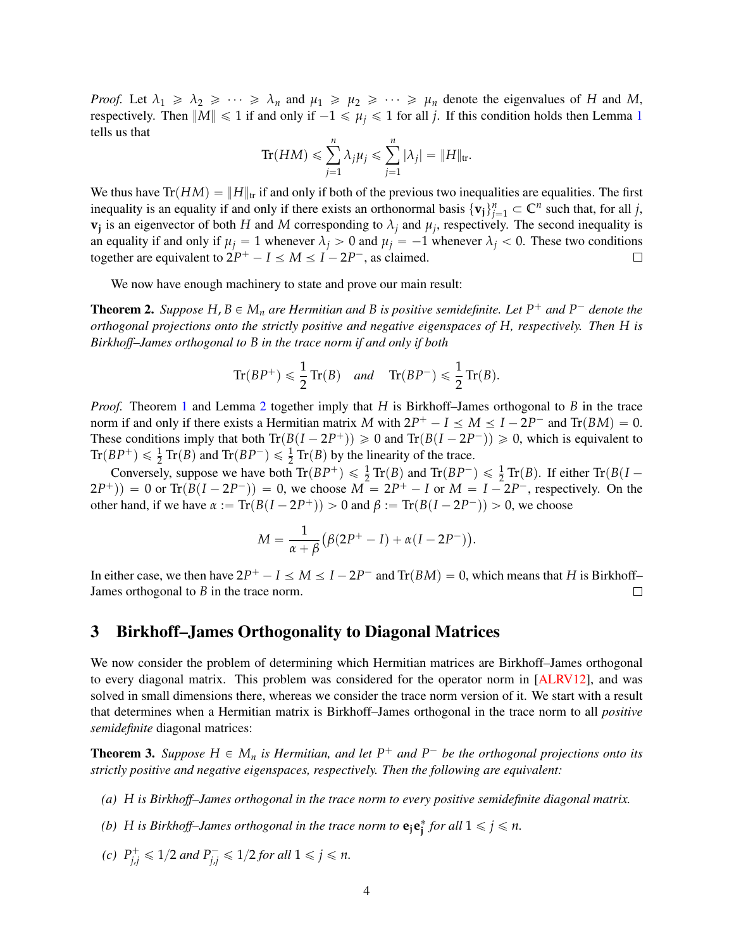*Proof.* Let  $\lambda_1 \geq \lambda_2 \geq \cdots \geq \lambda_n$  and  $\mu_1 \geq \mu_2 \geq \cdots \geq \mu_n$  denote the eigenvalues of *H* and *M*, respectively. Then  $||M|| \le 1$  $||M|| \le 1$  if and only if  $-1 \le \mu_i \le 1$  for all *j*. If this condition holds then Lemma 1 tells us that

$$
\mathrm{Tr}(HM) \leqslant \sum_{j=1}^n \lambda_j \mu_j \leqslant \sum_{j=1}^n |\lambda_j| = \|H\|_{\mathrm{tr}}.
$$

We thus have  $Tr(HM) = ||H||_{tr}$  if and only if both of the previous two inequalities are equalities. The first inequality is an equality if and only if there exists an orthonormal basis  $\{v_j\}_{j=1}^n \subset \mathbb{C}^n$  such that, for all *j*, **v**<sub>*j*</sub> is an eigenvector of both *H* and *M* corresponding to  $\lambda_j$  and  $\mu_j$ , respectively. The second inequality is an equality if and only if  $\mu_j = 1$  whenever  $\lambda_j > 0$  and  $\mu_j = -1$  whenever  $\lambda_j < 0$ . These two conditions together are equivalent to  $2P^+ - I \le M \le I - 2P^-$ , as claimed.  $\Box$ 

We now have enough machinery to state and prove our main result:

<span id="page-3-1"></span>**Theorem 2.** Suppose  $H, B \in M_n$  are Hermitian and B is positive semidefinite. Let  $P^+$  and  $P^-$  denote the *orthogonal projections onto the strictly positive and negative eigenspaces of H, respectively. Then H is Birkhoff–James orthogonal to B in the trace norm if and only if both*

$$
\operatorname{Tr}(BP^+) \leqslant \frac{1}{2}\operatorname{Tr}(B) \quad \text{and} \quad \operatorname{Tr}(BP^-) \leqslant \frac{1}{2}\operatorname{Tr}(B).
$$

*Proof.* Theorem [1](#page-1-1) and Lemma [2](#page-2-2) together imply that *H* is Birkhoff–James orthogonal to *B* in the trace norm if and only if there exists a Hermitian matrix M with  $2P^+ - I \le M \le I - 2P^-$  and  $\text{Tr}(BM) = 0$ . These conditions imply that both  $\text{Tr}(B(I - 2P^+)) \ge 0$  and  $\text{Tr}(B(I - 2P^-)) \ge 0$ , which is equivalent to  $Tr(BP^+) \leq \frac{1}{2} Tr(B)$  and  $Tr(BP^-) \leq \frac{1}{2} Tr(B)$  by the linearity of the trace.

Conversely, suppose we have both  $\text{Tr}(BP^+) \leq \frac{1}{2} \text{Tr}(B)$  and  $\text{Tr}(BP^-) \leq \frac{1}{2} \text{Tr}(B)$ . If either  $\text{Tr}(B(I (2P^+)$  = 0 or Tr $(B(I - 2P^-))$  = 0, we choose  $M = 2P^+ - I$  or  $M = I - 2P^-$ , respectively. On the other hand, if we have  $\alpha := \text{Tr}(B(I - 2P^+)) > 0$  and  $\beta := \text{Tr}(B(I - 2P^-)) > 0$ , we choose

$$
M=\frac{1}{\alpha+\beta}\big(\beta(2P^+-I)+\alpha(I-2P^-)\big).
$$

In either case, we then have  $2P^+ - I \le M \le I - 2P^-$  and  $\text{Tr}(BM) = 0$ , which means that *H* is Birkhoff– James orthogonal to *B* in the trace norm.  $\Box$ 

# <span id="page-3-0"></span>3 Birkhoff–James Orthogonality to Diagonal Matrices

We now consider the problem of determining which Hermitian matrices are Birkhoff–James orthogonal to every diagonal matrix. This problem was considered for the operator norm in [\[ALRV12\]](#page-15-1), and was solved in small dimensions there, whereas we consider the trace norm version of it. We start with a result that determines when a Hermitian matrix is Birkhoff–James orthogonal in the trace norm to all *positive semidefinite* diagonal matrices:

<span id="page-3-2"></span>**Theorem 3.** *Suppose*  $H \in M_n$  *is Hermitian, and let*  $P^+$  *and*  $P^-$  *be the orthogonal projections onto its strictly positive and negative eigenspaces, respectively. Then the following are equivalent:*

- *(a) H is Birkhoff–James orthogonal in the trace norm to every positive semidefinite diagonal matrix.*
- *(b) H is Birkhoff–James orthogonal in the trace norm to*  $e_j e_j^*$  *for all*  $1 \leq j \leq n$ *.*
- *(c)*  $P_{j,j}^+ \leq 1/2$  *and*  $P_{j,j}^- \leq 1/2$  *for all*  $1 \leq j \leq n$ .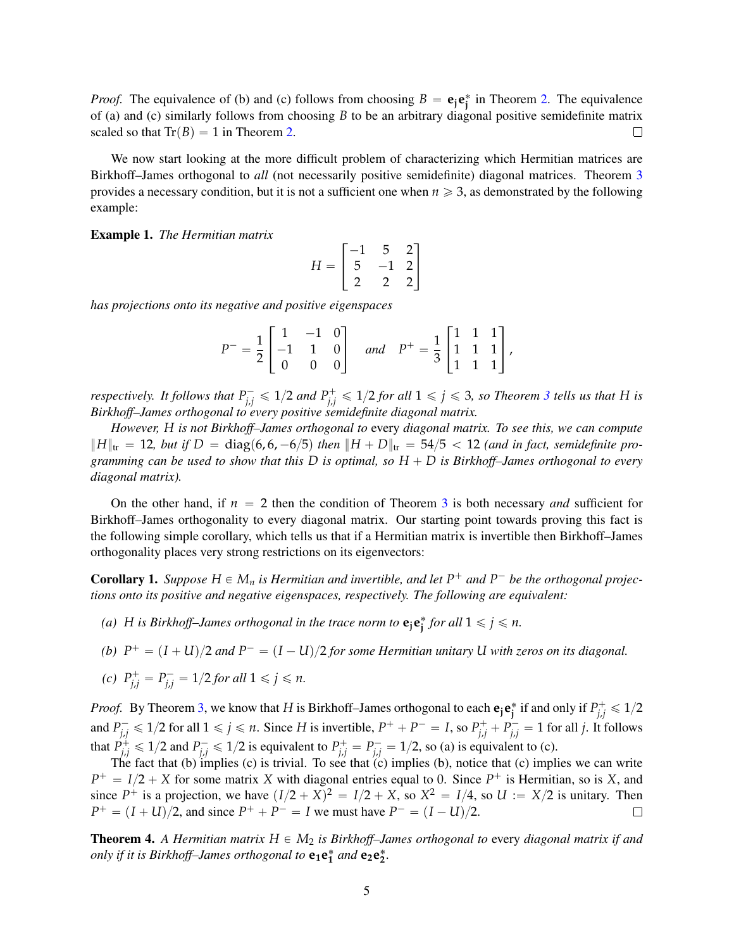*Proof.* The equivalence of (b) and (c) follows from choosing  $B = e_j e_j^*$  in Theorem [2.](#page-3-1) The equivalence of (a) and (c) similarly follows from choosing *B* to be an arbitrary diagonal positive semidefinite matrix scaled so that  $Tr(B) = 1$  in Theorem [2.](#page-3-1)  $\Box$ 

We now start looking at the more difficult problem of characterizing which Hermitian matrices are Birkhoff–James orthogonal to *all* (not necessarily positive semidefinite) diagonal matrices. Theorem [3](#page-3-2) provides a necessary condition, but it is not a sufficient one when  $n \geq 3$ , as demonstrated by the following example:

Example 1. *The Hermitian matrix*

$$
H = \begin{bmatrix} -1 & 5 & 2 \\ 5 & -1 & 2 \\ 2 & 2 & 2 \end{bmatrix}
$$

*has projections onto its negative and positive eigenspaces*

$$
P^{-} = \frac{1}{2} \begin{bmatrix} 1 & -1 & 0 \\ -1 & 1 & 0 \\ 0 & 0 & 0 \end{bmatrix} \quad and \quad P^{+} = \frac{1}{3} \begin{bmatrix} 1 & 1 & 1 \\ 1 & 1 & 1 \\ 1 & 1 & 1 \end{bmatrix},
$$

*respectively. It follows that*  $P_{j,j}^- \leq 1/2$  *and*  $P_{j,j}^+ \leq 1/2$  *for all*  $1 \leq j \leq 3$  $1 \leq j \leq 3$ *, so Theorem 3 tells us that H is Birkhoff–James orthogonal to every positive semidefinite diagonal matrix.*

*However, H is not Birkhoff–James orthogonal to* every *diagonal matrix. To see this, we can compute*  $||H||_{\text{tr}} = 12$ , but if  $D = \text{diag}(6, 6, -6/5)$  then  $||H + D||_{\text{tr}} = 54/5 < 12$  (and in fact, semidefinite pro*gramming can be used to show that this*  $D$  *is optimal, so*  $H + D$  *is Birkhoff–James orthogonal to every diagonal matrix).*

On the other hand, if  $n = 2$  then the condition of Theorem [3](#page-3-2) is both necessary *and* sufficient for Birkhoff–James orthogonality to every diagonal matrix. Our starting point towards proving this fact is the following simple corollary, which tells us that if a Hermitian matrix is invertible then Birkhoff–James orthogonality places very strong restrictions on its eigenvectors:

<span id="page-4-0"></span>**Corollary 1.** *Suppose*  $H \in M_n$  *is Hermitian and invertible, and let*  $P^+$  *and*  $P^-$  *be the orthogonal projections onto its positive and negative eigenspaces, respectively. The following are equivalent:*

- *(a) H is Birkhoff–James orthogonal in the trace norm to*  $e_j e_j^*$  *for all*  $1 \leq j \leq n$ *.*
- *(b)*  $P^+ = (I + U)/2$  and  $P^- = (I U)/2$  for some Hermitian unitary U with zeros on its diagonal.

(c) 
$$
P_{j,j}^+ = P_{j,j}^- = 1/2
$$
 for all  $1 \le j \le n$ .

*Proof.* By Theorem [3,](#page-3-2) we know that *H* is Birkhoff–James orthogonal to each  $e_j e_j^*$  if and only if  $P_{j,j}^+ \le 1/2$ and  $P_{j,j}^- \le 1/2$  for all  $1 \le j \le n$ . Since H is invertible,  $P^+ + P^- = I$ , so  $P_{j,j}^+ + P_{j,j}^- = 1$  for all j. It follows that  $P_{j,j}^+ \leq 1/2$  and  $P_{j,j}^- \leq 1/2$  is equivalent to  $P_{j,j}^+ = P_{j,j}^- = 1/2$ , so (a) is equivalent to (c).

The fact that (b) implies (c) is trivial. To see that (c) implies (b), notice that (c) implies we can write  $P^+ = I/2 + X$  for some matrix *X* with diagonal entries equal to 0. Since  $P^+$  is Hermitian, so is *X*, and since  $P^+$  is a projection, we have  $(I/2 + X)^2 = I/2 + X$ , so  $X^2 = I/4$ , so  $U := X/2$  is unitary. Then  $P^+ = (I + U)/2$ , and since  $P^+ + P^- = I$  we must have  $P^- = (I - U)/2$ .  $\Box$ 

<span id="page-4-1"></span>**Theorem 4.** A Hermitian matrix  $H \in M_2$  is Birkhoff–James orthogonal to every diagonal matrix if and *only if it is Birkhoff–James orthogonal to*  $e_1e_1^*$  and  $e_2e_2^*$ .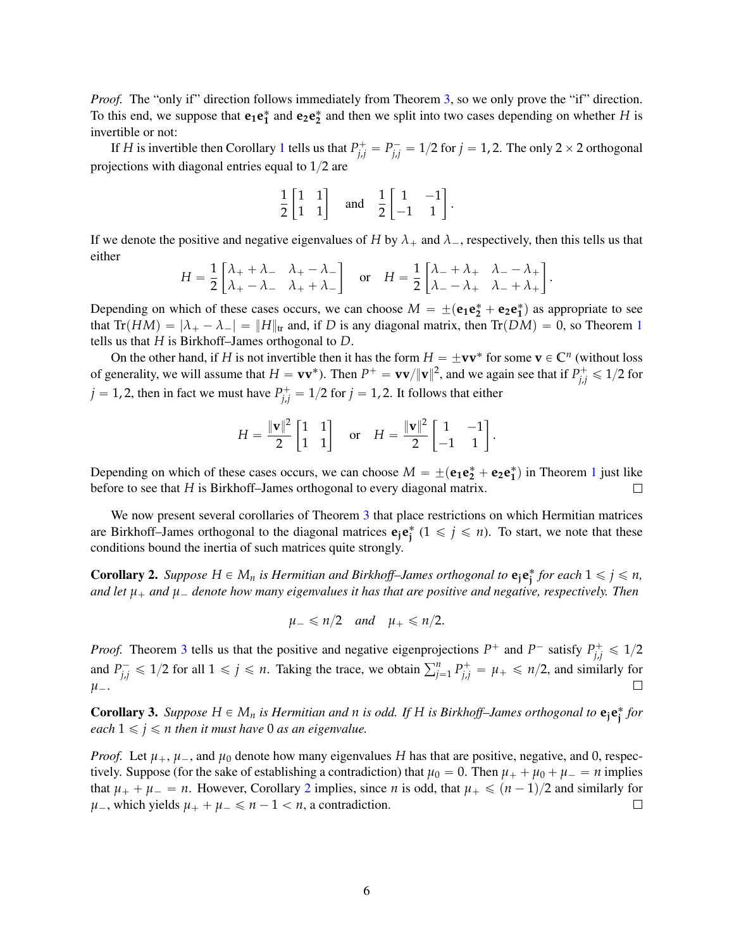*Proof.* The "only if" direction follows immediately from Theorem [3,](#page-3-2) so we only prove the "if" direction. To this end, we suppose that  $e_1e_1^*$  and  $e_2e_2^*$  and then we split into two cases depending on whether *H* is invertible or not:

If *H* is invertible then Corollary [1](#page-4-0) tells us that  $P_{j,j}^+ = P_{j,j}^- = 1/2$  for  $j = 1, 2$ . The only 2  $\times$  2 orthogonal projections with diagonal entries equal to  $1/2$  are

$$
\frac{1}{2}\begin{bmatrix} 1 & 1 \\ 1 & 1 \end{bmatrix} \quad \text{and} \quad \frac{1}{2}\begin{bmatrix} 1 & -1 \\ -1 & 1 \end{bmatrix}.
$$

If we denote the positive and negative eigenvalues of *H* by  $\lambda_+$  and  $\lambda_-$ , respectively, then this tells us that either .<br>...  $\overline{a}$ .<br>...  $\overline{a}$ 

$$
H = \frac{1}{2} \begin{bmatrix} \lambda_+ + \lambda_- & \lambda_+ - \lambda_- \\ \lambda_+ - \lambda_- & \lambda_+ + \lambda_- \end{bmatrix}
$$
 or 
$$
H = \frac{1}{2} \begin{bmatrix} \lambda_- + \lambda_+ & \lambda_- - \lambda_+ \\ \lambda_- - \lambda_+ & \lambda_- + \lambda_+ \end{bmatrix}.
$$

Depending on which of these cases occurs, we can choose  $M = \pm (e_1 e_2^* + e_2 e_1^*)$  as appropriate to see that  $Tr(HM) = |\lambda_+ - \lambda_-| = ||H||_{tr}$  and, if *D* is any diagonal matrix, then  $Tr(DM) = 0$ , so Theorem [1](#page-1-1) tells us that *H* is Birkhoff–James orthogonal to *D*.

On the other hand, if *H* is not invertible then it has the form  $H = \pm \mathbf{v}\mathbf{v}^*$  for some  $\mathbf{v} \in \mathbb{C}^n$  (without loss of generality, we will assume that  $H = v v^*$ ). Then  $P^+ = v v / ||v||^2$ , and we again see that if  $P^+_{j,j} \le 1/2$  for  $j = 1, 2$ , then in fact we must have  $P_{j,j}^+ = 1/2$  for  $j = 1, 2$ . It follows that either

$$
H = \frac{\|\mathbf{v}\|^2}{2} \begin{bmatrix} 1 & 1 \\ 1 & 1 \end{bmatrix} \quad \text{or} \quad H = \frac{\|\mathbf{v}\|^2}{2} \begin{bmatrix} 1 & -1 \\ -1 & 1 \end{bmatrix}.
$$

Depending on which of these cases occurs, we can choose  $M = \pm (e_1 e_2^* + e_2 e_1^*)$  $M = \pm (e_1 e_2^* + e_2 e_1^*)$  $M = \pm (e_1 e_2^* + e_2 e_1^*)$  in Theorem 1 just like before to see that *H* is Birkhoff–James orthogonal to every diagonal matrix.  $\Box$ 

We now present several corollaries of Theorem [3](#page-3-2) that place restrictions on which Hermitian matrices are Birkhoff–James orthogonal to the diagonal matrices  $\mathbf{e}_j \mathbf{e}_j^*$  ( $1 \leq j \leq n$ ). To start, we note that these conditions bound the inertia of such matrices quite strongly.

<span id="page-5-0"></span>**Corollary 2.** *Suppose*  $H \in M_n$  *is Hermitian and Birkhoff–James orthogonal to*  $e_j e_j^*$  *for each*  $1 \leq j \leq n$ *, and let µ*` *and µ*´ *denote how many eigenvalues it has that are positive and negative, respectively. Then*

$$
\mu_- \leq n/2 \quad and \quad \mu_+ \leq n/2.
$$

*Proof.* Theorem [3](#page-3-2) tells us that the positive and negative eigenprojections  $P^+$  and  $P^-$  satisfy  $P^+_{ij}$  $j_{i,j}^{+} \leqslant 1/2$ and  $P_{i,j}^$ *j*,*j*  $\leq$  1/2 for all  $1 \leq j \leq n$ . Taking the trace, we obtain  $\sum_{j=1}^{n} P_{j,j}^{+} = \mu_{+} \leq n/2$ , and similarly for *µ*´.

**Corollary 3.** Suppose  $H \in M_n$  is Hermitian and *n* is odd. If H is Birkhoff–James orthogonal to  $e_j e_j^*$  for *each*  $1 \leq j \leq n$  *then it must have* 0 *as an eigenvalue.* 

*Proof.* Let  $\mu_+$ ,  $\mu_-$ , and  $\mu_0$  denote how many eigenvalues *H* has that are positive, negative, and 0, respectively. Suppose (for the sake of establishing a contradiction) that  $\mu_0 = 0$ . Then  $\mu_+ + \mu_0 + \mu_- = n$  implies that  $\mu_+ + \mu_- = n$ . However, Corollary [2](#page-5-0) implies, since *n* is odd, that  $\mu_+ \leq (n-1)/2$  and similarly for  $\mu$ , which yields  $\mu$ <sub>+</sub> +  $\mu$   $\le$  *n* - 1  $\lt$  *n*, a contradiction.  $\Box$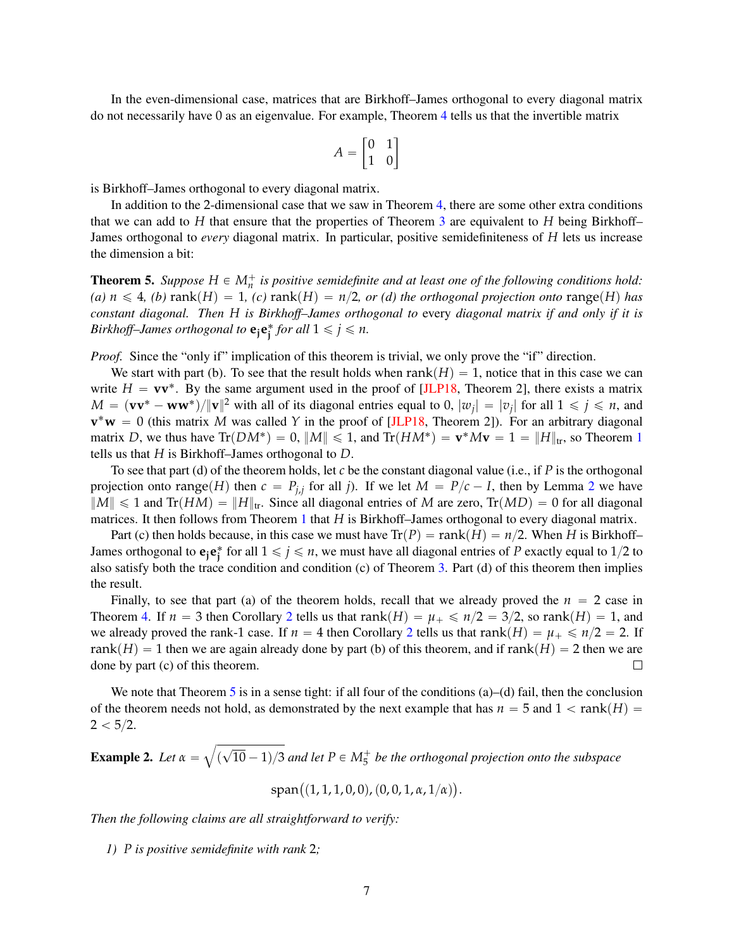In the even-dimensional case, matrices that are Birkhoff–James orthogonal to every diagonal matrix do not necessarily have 0 as an eigenvalue. For example, Theorem [4](#page-4-1) tells us that the invertible matrix

$$
A = \begin{bmatrix} 0 & 1 \\ 1 & 0 \end{bmatrix}
$$

is Birkhoff–James orthogonal to every diagonal matrix.

In addition to the 2-dimensional case that we saw in Theorem [4,](#page-4-1) there are some other extra conditions that we can add to *H* that ensure that the properties of Theorem [3](#page-3-2) are equivalent to *H* being Birkhoff– James orthogonal to *every* diagonal matrix. In particular, positive semidefiniteness of *H* lets us increase the dimension a bit:

<span id="page-6-0"></span>**Theorem 5.** *Suppose*  $H \in M_n^+$  *is positive semidefinite and at least one of the following conditions hold: (a)*  $n \leq 4$ , *(b)* rank $(H) = 1$ , *(c)* rank $(H) = n/2$ , *or (d) the orthogonal projection onto* range $(H)$  *has constant diagonal. Then H is Birkhoff–James orthogonal to* every *diagonal matrix if and only if it is Birkhoff–James orthogonal to*  $e_j e_j^*$  *for all*  $1 \leq j \leq n$ *.* 

*Proof.* Since the "only if" implication of this theorem is trivial, we only prove the "if" direction.

We start with part (b). To see that the result holds when  $rank(H) = 1$ , notice that in this case we can write  $H = v v^*$ . By the same argument used in the proof of [\[JLP18,](#page-16-3) Theorem 2], there exists a matrix  $M = (\mathbf{vv}^* - \mathbf{ww}^*)/||\mathbf{v}||^2$  with all of its diagonal entries equal to 0,  $|w_j| = |v_j|$  for all  $1 \le j \le n$ , and  $v^*w = 0$  (this matrix *M* was called *Y* in the proof of [\[JLP18,](#page-16-3) Theorem 2]). For an arbitrary diagonal matrix *D*, we thus have  $Tr(DM^*) = 0$ ,  $||M|| \le 1$  $||M|| \le 1$ , and  $Tr(HM^*) = \mathbf{v}^*M\mathbf{v} = 1 = ||H||_{tr}$ , so Theorem 1 tells us that *H* is Birkhoff–James orthogonal to *D*.

To see that part (d) of the theorem holds, let *c* be the constant diagonal value (i.e., if *P* is the orthogonal projection onto range $(H)$  then  $c = P_{j,j}$  for all *j*). If we let  $M = P/c - I$ , then by Lemma [2](#page-2-2) we have  $||M|| \leq 1$  and Tr(*HM*) =  $||H||_{tr}$ . Since all diagonal entries of *M* are zero, Tr(*MD*) = 0 for all diagonal matrices. It then follows from Theorem [1](#page-1-1) that *H* is Birkhoff–James orthogonal to every diagonal matrix.

Part (c) then holds because, in this case we must have  $Tr(P) = rank(H) = n/2$ . When *H* is Birkhoff– James orthogonal to  $e_j e_j^*$  for all  $1 \le j \le n$ , we must have all diagonal entries of *P* exactly equal to 1/2 to also satisfy both the trace condition and condition (c) of Theorem [3.](#page-3-2) Part (d) of this theorem then implies the result.

Finally, to see that part (a) of the theorem holds, recall that we already proved the  $n = 2$  case in Theorem [4.](#page-4-1) If  $n = 3$  then Corollary [2](#page-5-0) tells us that rank $(H) = \mu_+ \leq n/2 = 3/2$ , so rank $(H) = 1$ , and we already proved the rank-1 case. If  $n = 4$  then Corollary [2](#page-5-0) tells us that rank $(H) = \mu_+ \le n/2 = 2$ . If rank $(H) = 1$  then we are again already done by part (b) of this theorem, and if rank $(H) = 2$  then we are done by part (c) of this theorem.  $\Box$ 

We note that Theorem [5](#page-6-0) is in a sense tight: if all four of the conditions  $(a)$ – $(d)$  fail, then the conclusion of the theorem needs not hold, as demonstrated by the next example that has  $n = 5$  and  $1 < \text{rank}(H) =$  $2 < 5/2$ .

Example 2. *Let*  $\alpha$  =  $($  $\sqrt{10-1/3}$  and let  $P \in M_5^+$  be the orthogonal projection onto the subspace

 $\text{span} \big( (1, 1, 1, 0, 0), (0, 0, 1, \alpha, 1/\alpha) \big)$ .

*Then the following claims are all straightforward to verify:*

*1) P is positive semidefinite with rank* 2*;*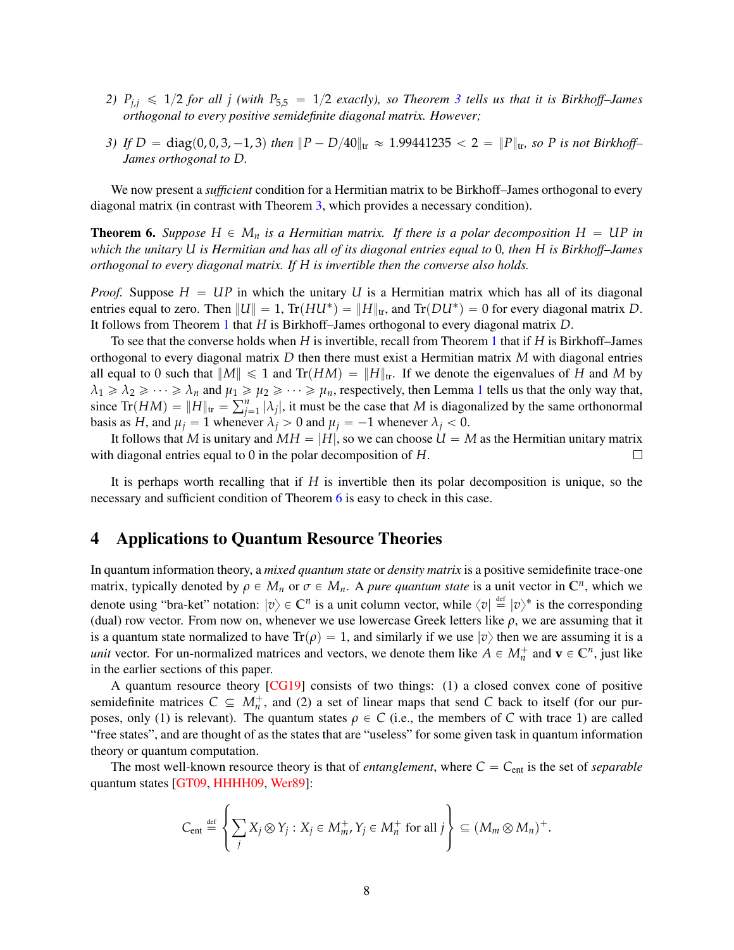- 2)  $P_{i,j} \leq 1/2$  *for all j* (with  $P_{5,5} = 1/2$  *exactly), so Theorem* [3](#page-3-2) *tells us that it is Birkhoff–James orthogonal to every positive semidefinite diagonal matrix. However;*
- *3) If*  $D = \text{diag}(0, 0, 3, -1, 3)$  *then*  $||P D/40||_{tr} \approx 1.99441235 < 2 = ||P||_{tr}$ , so P is not Birkhoff– *James orthogonal to D.*

We now present a *sufficient* condition for a Hermitian matrix to be Birkhoff–James orthogonal to every diagonal matrix (in contrast with Theorem [3,](#page-3-2) which provides a necessary condition).

<span id="page-7-1"></span>**Theorem 6.** Suppose  $H \in M_n$  is a Hermitian matrix. If there is a polar decomposition  $H = UP$  in *which the unitary U is Hermitian and has all of its diagonal entries equal to* 0*, then H is Birkhoff–James orthogonal to every diagonal matrix. If H is invertible then the converse also holds.*

*Proof.* Suppose  $H = UP$  in which the unitary *U* is a Hermitian matrix which has all of its diagonal entries equal to zero. Then  $||U|| = 1$ ,  $Tr(HU^*) = ||H||_{tr}$ , and  $Tr(DU^*) = 0$  for every diagonal matrix *D*. It follows from Theorem [1](#page-1-1) that *H* is Birkhoff–James orthogonal to every diagonal matrix *D*.

To see that the converse holds when *H* is invertible, recall from Theorem [1](#page-1-1) that if *H* is Birkhoff–James orthogonal to every diagonal matrix *D* then there must exist a Hermitian matrix *M* with diagonal entries all equal to 0 such that  $||M|| \le 1$  and  $Tr(HM) = ||H||_{tr}$ . If we denote the eigenvalues of *H* and *M* by  $\lambda_1 \geq \lambda_2 \geq \cdots \geq \lambda_n$  $\lambda_1 \geq \lambda_2 \geq \cdots \geq \lambda_n$  $\lambda_1 \geq \lambda_2 \geq \cdots \geq \lambda_n$  and  $\mu_1 \geq \mu_2 \geq \cdots \geq \mu_n$ , respectively, then Lemma 1 tells us that the only way that,  $\lambda_1 \geq \lambda_2 \geq \cdots \geq \lambda_n$  and  $\mu_1 \geq$ <br>since  $\text{Tr}(HM) = ||H||_{\text{tr}} = \sum_{i=1}^n H_i$  $\int_{j=1}^{n} |\lambda_j|$ , it must be the case that *M* is diagonalized by the same orthonormal basis as *H*, and  $\mu_i = 1$  whenever  $\lambda_i > 0$  and  $\mu_i = -1$  whenever  $\lambda_i < 0$ .

It follows that *M* is unitary and  $MH = |H|$ , so we can choose  $U = M$  as the Hermitian unitary matrix with diagonal entries equal to 0 in the polar decomposition of *H*.  $\Box$ 

It is perhaps worth recalling that if *H* is invertible then its polar decomposition is unique, so the necessary and sufficient condition of Theorem [6](#page-7-1) is easy to check in this case.

# <span id="page-7-0"></span>4 Applications to Quantum Resource Theories

In quantum information theory, a *mixed quantum state* or *density matrix* is a positive semidefinite trace-one matrix, typically denoted by  $\rho \in M_n$  or  $\sigma \in M_n$ . A *pure quantum state* is a unit vector in  $\mathbb{C}^n$ , which we denote using "bra-ket" notation:  $|v\rangle \in \mathbb{C}^n$  is a unit column vector, while  $\langle v | \stackrel{\text{def}}{=} |v\rangle^*$  is the corresponding (dual) row vector. From now on, whenever we use lowercase Greek letters like  $\rho$ , we are assuming that it is a quantum state normalized to have  $Tr(\rho) = 1$ , and similarly if we use  $|\nu\rangle$  then we are assuming it is a *unit* vector. For un-normalized matrices and vectors, we denote them like  $A \in M_n^+$  and  $\mathbf{v} \in \mathbb{C}^n$ , just like in the earlier sections of this paper.

A quantum resource theory [\[CG19\]](#page-15-5) consists of two things: (1) a closed convex cone of positive semidefinite matrices  $C \subseteq M_n^+$ , and (2) a set of linear maps that send C back to itself (for our purposes, only (1) is relevant). The quantum states  $\rho \in C$  (i.e., the members of *C* with trace 1) are called "free states", and are thought of as the states that are "useless" for some given task in quantum information theory or quantum computation.

The most well-known resource theory is that of *entanglement*, where  $C = C<sub>ent</sub>$  is the set of *separable* quantum states [\[GT09,](#page-16-4) [HHHH09,](#page-16-5) [Wer89\]](#page-17-3):

$$
C_{\text{ent}} \stackrel{\text{def}}{=} \left\{ \sum_j X_j \otimes Y_j : X_j \in M_m^+, Y_j \in M_n^+ \text{ for all } j \right\} \subseteq (M_m \otimes M_n)^+.
$$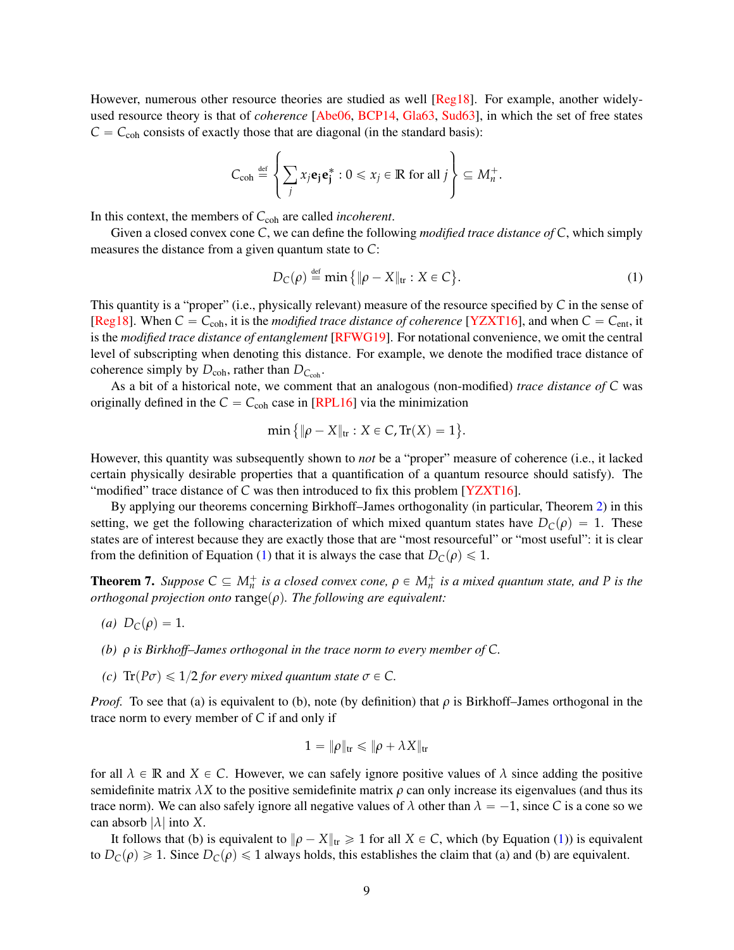However, numerous other resource theories are studied as well [\[Reg18\]](#page-16-2). For example, another widelyused resource theory is that of *coherence* [\[Abe06,](#page-15-6) [BCP14,](#page-15-2) [Gla63,](#page-15-3) [Sud63\]](#page-17-1), in which the set of free states  $C = C_{\text{coh}}$  consists of exactly those that are diagonal (in the standard basis):

$$
C_{\text{coh}} \stackrel{\text{def}}{=} \left\{ \sum_j x_j \mathbf{e}_j \mathbf{e}_j^* : 0 \leq x_j \in \mathbb{R} \text{ for all } j \right\} \subseteq M_n^+.
$$

In this context, the members of C<sub>coh</sub> are called *incoherent*.

Given a closed convex cone *C*, we can define the following *modified trace distance of C*, which simply measures the distance from a given quantum state to *C*:

$$
D_C(\rho) \stackrel{\text{def}}{=} \min \{ \|\rho - X\|_{\text{tr}} : X \in C \}. \tag{1}
$$

<span id="page-8-0"></span>(

This quantity is a "proper" (i.e., physically relevant) measure of the resource specified by *C* in the sense of [\[Reg18\]](#page-16-2). When  $C = C_{coh}$ , it is the *modified trace distance of coherence* [\[YZXT16\]](#page-17-4), and when  $C = C_{ent}$ , it is the *modified trace distance of entanglement* [\[RFWG19\]](#page-16-6). For notational convenience, we omit the central level of subscripting when denoting this distance. For example, we denote the modified trace distance of coherence simply by  $D_{coh}$ , rather than  $D_{C_{coh}}$ .

As a bit of a historical note, we comment that an analogous (non-modified) *trace distance of C* was originally defined in the  $C = C_{coh}$  case in [\[RPL16\]](#page-17-5) via the minimization

$$
min\{\|\rho - X\|_{tr}: X \in C, Tr(X) = 1\}.
$$

However, this quantity was subsequently shown to *not* be a "proper" measure of coherence (i.e., it lacked certain physically desirable properties that a quantification of a quantum resource should satisfy). The "modified" trace distance of *C* was then introduced to fix this problem [\[YZXT16\]](#page-17-4).

By applying our theorems concerning Birkhoff–James orthogonality (in particular, Theorem [2\)](#page-3-1) in this setting, we get the following characterization of which mixed quantum states have  $D_C(\rho) = 1$ . These states are of interest because they are exactly those that are "most resourceful" or "most useful": it is clear from the definition of Equation [\(1\)](#page-8-0) that it is always the case that  $D_C(\rho) \leq 1$ .

<span id="page-8-1"></span>**Theorem 7.** Suppose  $C \subseteq M_n^+$  is a closed convex cone,  $\rho \in M_n^+$  is a mixed quantum state, and P is the *orthogonal projection onto* range $(\rho)$ *. The following are equivalent:* 

- *(a)*  $D_C(\rho) = 1$ .
- *(b) ρ is Birkhoff–James orthogonal in the trace norm to every member of C.*
- *(c)*  $\text{Tr}(P\sigma) \leq 1/2$  *for every mixed quantum state*  $\sigma \in C$ *.*

*Proof.* To see that (a) is equivalent to (b), note (by definition) that  $\rho$  is Birkhoff–James orthogonal in the trace norm to every member of *C* if and only if

$$
1=\|\rho\|_{\text{tr}}\leqslant \|\rho+\lambda X\|_{\text{tr}}
$$

for all  $\lambda \in \mathbb{R}$  and  $X \in \mathbb{C}$ . However, we can safely ignore positive values of  $\lambda$  since adding the positive semidefinite matrix  $\lambda X$  to the positive semidefinite matrix  $\rho$  can only increase its eigenvalues (and thus its trace norm). We can also safely ignore all negative values of  $\lambda$  other than  $\lambda = -1$ , since C is a cone so we can absorb |*λ*| into *X*.

It follows that (b) is equivalent to  $\|\rho - X\|_{tr} \ge 1$  for all  $X \in C$ , which (by Equation [\(1\)](#page-8-0)) is equivalent to  $D_C(\rho) \ge 1$ . Since  $D_C(\rho) \le 1$  always holds, this establishes the claim that (a) and (b) are equivalent.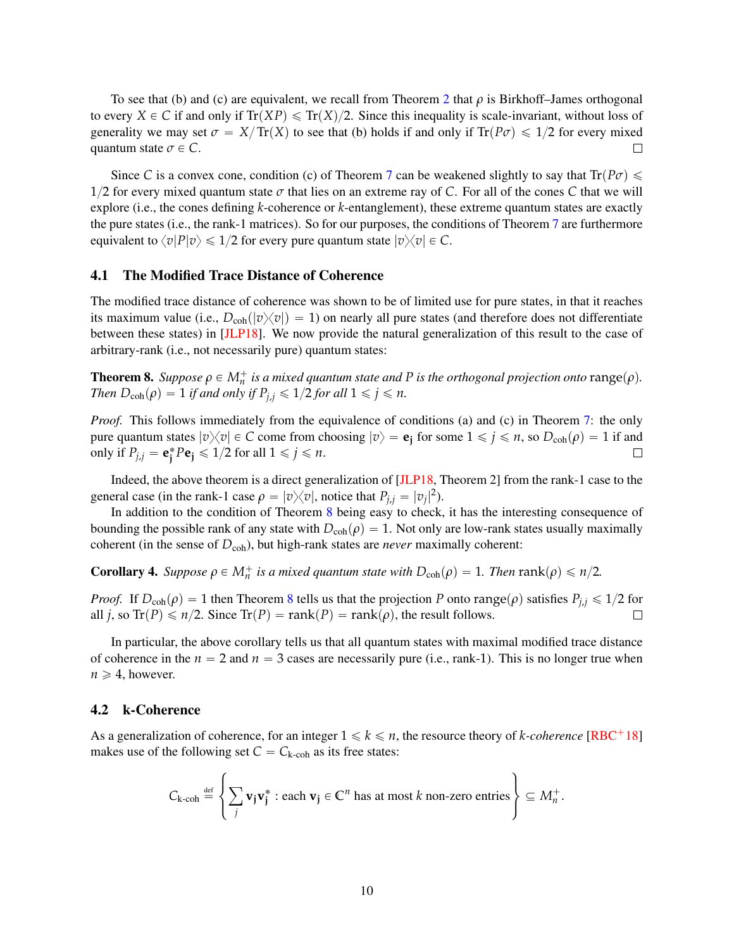To see that (b) and (c) are equivalent, we recall from Theorem [2](#page-3-1) that *ρ* is Birkhoff–James orthogonal to every  $X \in \mathcal{C}$  if and only if  $Tr(XP) \le Tr(X)/2$ . Since this inequality is scale-invariant, without loss of generality we may set  $\sigma = X/\text{Tr}(X)$  to see that (b) holds if and only if  $\text{Tr}(P\sigma) \leq 1/2$  for every mixed quantum state  $\sigma \in C$ .  $\Box$ 

Since *C* is a convex cone, condition (c) of Theorem [7](#page-8-1) can be weakened slightly to say that  $Tr(P\sigma) \leq$  $1/2$  for every mixed quantum state  $\sigma$  that lies on an extreme ray of C. For all of the cones C that we will explore (i.e., the cones defining *k*-coherence or *k*-entanglement), these extreme quantum states are exactly the pure states (i.e., the rank-1 matrices). So for our purposes, the conditions of Theorem [7](#page-8-1) are furthermore equivalent to  $\langle v|P|v\rangle \le 1/2$  for every pure quantum state  $|v\rangle \langle v| \in C$ .

## 4.1 The Modified Trace Distance of Coherence

The modified trace distance of coherence was shown to be of limited use for pure states, in that it reaches its maximum value (i.e.,  $D_{coh}(|v\rangle\langle v|) = 1$ ) on nearly all pure states (and therefore does not differentiate between these states) in [\[JLP18\]](#page-16-3). We now provide the natural generalization of this result to the case of arbitrary-rank (i.e., not necessarily pure) quantum states:

<span id="page-9-0"></span>**Theorem 8.** Suppose  $\rho \in M_n^+$  is a mixed quantum state and P is the orthogonal projection onto  $\text{range}(\rho)$ . *Then*  $D_{coh}(\rho) = 1$  *if and only if*  $P_{j,i} \leq 1/2$  *for all*  $1 \leq j \leq n$ *.* 

*Proof.* This follows immediately from the equivalence of conditions (a) and (c) in Theorem [7:](#page-8-1) the only pure quantum states  $|v\rangle\langle v| \in C$  come from choosing  $|v\rangle = \mathbf{e}_j$  for some  $1 \leq j \leq n$ , so  $D_{coh}(\rho) = 1$  if and only if  $P_{j,j} = \mathbf{e}_j^* P \mathbf{e}_j \leq 1/2$  for all  $1 \leq j \leq n$ .  $\Box$ 

Indeed, the above theorem is a direct generalization of [\[JLP18,](#page-16-3) Theorem 2] from the rank-1 case to the general case (in the rank-1 case  $\rho = |v\rangle\langle v|$ , notice that  $P_{j,j} = |v_j|^2$ ).

In addition to the condition of Theorem [8](#page-9-0) being easy to check, it has the interesting consequence of bounding the possible rank of any state with  $D_{coh}(\rho) = 1$ . Not only are low-rank states usually maximally coherent (in the sense of  $D_{coh}$ ), but high-rank states are *never* maximally coherent:

<span id="page-9-1"></span>**Corollary 4.** *Suppose*  $\rho \in M_n^+$  *is a mixed quantum state with*  $D_{coh}(\rho) = 1$ *. Then* rank $(\rho) \leq n/2$ *.* 

*Proof.* If  $D_{coh}(\rho) = 1$  then Theorem [8](#page-9-0) tells us that the projection *P* onto range $(\rho)$  satisfies  $P_{j,i} \leq 1/2$  for all *j*, so Tr(*P*)  $\leq n/2$ . Since Tr(*P*) = rank(*P*) = rank(*ρ*), the result follows.  $\Box$ 

In particular, the above corollary tells us that all quantum states with maximal modified trace distance of coherence in the  $n = 2$  and  $n = 3$  cases are necessarily pure (i.e., rank-1). This is no longer true when  $n \geqslant 4$ , however.

## 4.2 k-Coherence

As a generalization of coherence, for an integer  $1 \leq k \leq n$ , the resource theory of *k*-coherence [\[RBC](#page-16-7)<sup>+</sup>18] makes use of the following set  $C = C_{k\text{-coh}}$  as its free states:

$$
C_{k\text{-coh}} \stackrel{\text{def}}{=} \left\{ \sum_{j} \mathbf{v}_j \mathbf{v}_j^* : \text{each } \mathbf{v}_j \in \mathbb{C}^n \text{ has at most } k \text{ non-zero entries} \right\} \subseteq M_n^+
$$

.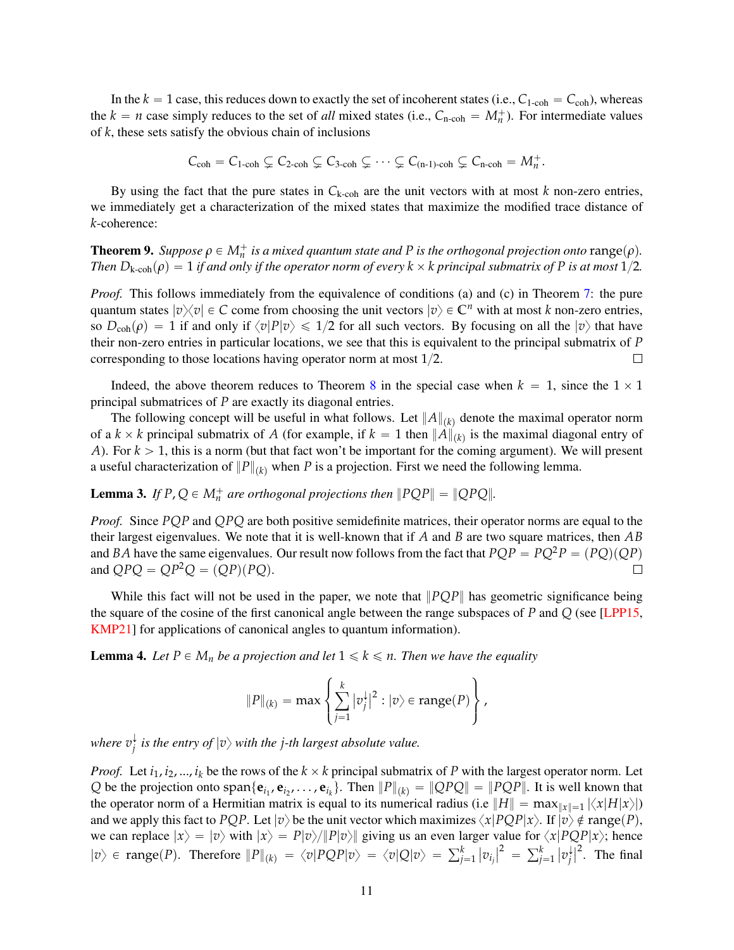In the  $k = 1$  case, this reduces down to exactly the set of incoherent states (i.e.,  $C_{1\text{-coh}} = C_{\text{coh}}$ ), whereas the  $k = n$  case simply reduces to the set of *all* mixed states (i.e.,  $C_{n\text{-coh}} = M_n^+$ ). For intermediate values of *k*, these sets satisfy the obvious chain of inclusions

$$
C_{coh}=C_{1\text{-coh}}\subsetneq C_{2\text{-coh}}\subsetneq C_{3\text{-coh}}\subsetneq\cdots\subsetneq C_{(n-1)\text{-coh}}\subsetneq C_{n\text{-coh}}=M_n^+.
$$

By using the fact that the pure states in  $C_{k\text{-coh}}$  are the unit vectors with at most  $k$  non-zero entries, we immediately get a characterization of the mixed states that maximize the modified trace distance of *k*-coherence:

<span id="page-10-0"></span>**Theorem 9.** Suppose  $\rho \in M_n^+$  is a mixed quantum state and P is the orthogonal projection onto  $\text{range}(\rho)$ . *Then*  $D_{k\text{-coh}}(\rho) = 1$  *if and only if the operator norm of every*  $k \times k$  *principal submatrix of P is at most*  $1/2$ *.* 

*Proof.* This follows immediately from the equivalence of conditions (a) and (c) in Theorem [7:](#page-8-1) the pure quantum states  $|v\rangle\langle v| \in C$  come from choosing the unit vectors  $|v\rangle \in C^n$  with at most *k* non-zero entries, so  $D_{coh}(\rho) = 1$  if and only if  $\langle v|P|v \rangle \le 1/2$  for all such vectors. By focusing on all the  $|v\rangle$  that have their non-zero entries in particular locations, we see that this is equivalent to the principal submatrix of *P* corresponding to those locations having operator norm at most  $1/2$ .  $\Box$ 

Indeed, the above theorem reduces to Theorem [8](#page-9-0) in the special case when  $k = 1$ , since the  $1 \times 1$ principal submatrices of *P* are exactly its diagonal entries.

The following concept will be useful in what follows. Let  $||A||_{(k)}$  denote the maximal operator norm of a  $k \times k$  principal submatrix of *A* (for example, if  $k = 1$  then  $||A||_{(k)}$  is the maximal diagonal entry of *A*). For  $k > 1$ , this is a norm (but that fact won't be important for the coming argument). We will present a useful characterization of  $||P||_{(k)}$  when *P* is a projection. First we need the following lemma.

**Lemma 3.** If  $P$ ,  $Q \in M_n^+$  are orthogonal projections then  $\|PQP\| = \|QPQ\|$ .

*Proof.* Since *PQP* and *QPQ* are both positive semidefinite matrices, their operator norms are equal to the their largest eigenvalues. We note that it is well-known that if *A* and *B* are two square matrices, then *AB* and *BA* have the same eigenvalues. Our result now follows from the fact that  $PQP = PQ^2P = (PQ)(QP)$ and  $OPQ = QP^2Q = (QP)(PQ)$ .  $\Box$ 

While this fact will not be used in the paper, we note that  $\|PQP\|$  has geometric significance being the square of the cosine of the first canonical angle between the range subspaces of *P* and *Q* (see [\[LPP15,](#page-16-8) [KMP21\]](#page-16-9) for applications of canonical angles to quantum information).

<span id="page-10-1"></span>**Lemma 4.** Let  $P \in M_n$  be a projection and let  $1 \leq k \leq n$ . Then we have the equality

$$
||P||_{(k)} = \max \left\{ \sum_{j=1}^k |v_j^{\downarrow}|^2 : |v\rangle \in \text{range}(P) \right\},\,
$$

where  $v_i^{\downarrow}$  $\frac{1}{j}$  *is the entry of*  $|v\rangle$  *with the j-th largest absolute value.* 

*Proof.* Let  $i_1, i_2, ..., i_k$  be the rows of the  $k \times k$  principal submatrix of P with the largest operator norm. Let Q be the projection onto  $\text{span}\{\mathbf{e}_{i_1}, \mathbf{e}_{i_2}, \dots, \mathbf{e}_{i_k}\}$ . Then  $||P||_{(k)} = ||QPQ|| = ||PQP||$ . It is well known that the operator norm of a Hermitian matrix is equal to its numerical radius (i.e  $||H|| = \max_{||x|| = 1} |\langle x|H|x\rangle|$ ) and we apply this fact to *PQP*. Let  $|v\rangle$  be the unit vector which maximizes  $\langle x|PQP|x\rangle$ . If  $|v\rangle \notin \text{range}(P)$ , we can replace  $|x\rangle = |v\rangle$  with  $|x\rangle = P|v\rangle / \|P|v\rangle$  giving us an even larger value for  $\langle x|PQP|x\rangle$ ; hence  $|v\rangle$   $\in$  range(*P*). Therefore  $||P||_{(k)} = \langle v|PQP|v\rangle = \langle v|Q|v\rangle = \sum_{j=1}^{k} |v_j|^2 = \sum_{j=1}^{k}$  $\int_{j=1}^k |v_j|$ *j*  $\int_{0}^{2}$ . The final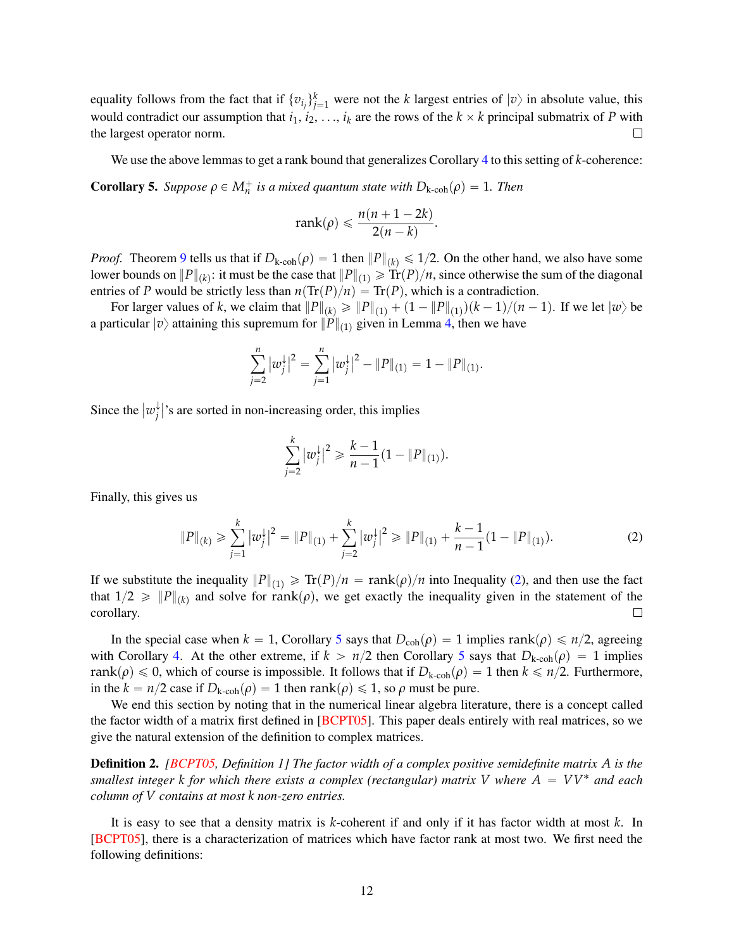equality follows from the fact that if  $\{v_i\}_{j=1}^k$  were not the *k* largest entries of  $|v\rangle$  in absolute value, this would contradict our assumption that  $i_1, i_2, \ldots, i_k$  are the rows of the  $k \times k$  principal submatrix of *P* with the largest operator norm.  $\Box$ 

<span id="page-11-1"></span>We use the above lemmas to get a rank bound that generalizes Corollary [4](#page-9-1) to this setting of *k*-coherence: **Corollary 5.** *Suppose*  $\rho \in M_n^+$  *is a mixed quantum state with*  $D_{k\text{-coh}}(\rho) = 1$ *. Then* 

$$
rank(\rho) \leq \frac{n(n+1-2k)}{2(n-k)}
$$

.

*Proof.* Theorem [9](#page-10-0) tells us that if  $D_{k\text{-coh}}(\rho) = 1$  then  $||P||_{(k)} \le 1/2$ . On the other hand, we also have some lower bounds on  $||P||_{(k)}$ : it must be the case that  $||P||_{(1)} \geqslant \text{Tr}(P)/n,$  since otherwise the sum of the diagonal entries of *P* would be strictly less than  $n(\text{Tr}(P)/n) = \text{Tr}(P)$ , which is a contradiction.

For larger values of *k*, we claim that  $||P||_{(k)} \ge ||P||_{(1)} + (1 - ||P||_{(1)})(k - 1)/(n - 1)$ . If we let  $|w\rangle$  be a particular  $|v\rangle$  attaining this supremum for  $||P||_{(1)}$  given in Lemma [4,](#page-10-1) then we have

$$
\sum_{j=2}^n |w_j^{\downarrow}|^2 = \sum_{j=1}^n |w_j^{\downarrow}|^2 - ||P||_{(1)} = 1 - ||P||_{(1)}.
$$

Since the  $\vert w_i^\downarrow \vert$ *j* 's are sorted in non-increasing order, this implies

<span id="page-11-0"></span>
$$
\sum_{j=2}^k |w_j^{\downarrow}|^2 \geqslant \frac{k-1}{n-1}(1 - \|P\|_{(1)}).
$$

Finally, this gives us

$$
||P||_{(k)} \ge \sum_{j=1}^{k} |w_j^{\downarrow}|^2 = ||P||_{(1)} + \sum_{j=2}^{k} |w_j^{\downarrow}|^2 \ge ||P||_{(1)} + \frac{k-1}{n-1}(1 - ||P||_{(1)}).
$$
 (2)

If we substitute the inequality  $||P||_{(1)} \ge \text{Tr}(P)/n = \text{rank}(\rho)/n$  into Inequality [\(2\)](#page-11-0), and then use the fact that  $1/2 \geq \|P\|_{(k)}$  and solve for rank $(\rho)$ , we get exactly the inequality given in the statement of the corollary.  $\Box$ 

In the special case when  $k = 1$ , Corollary [5](#page-11-1) says that  $D_{coh}(\rho) = 1$  implies rank $(\rho) \le n/2$ , agreeing with Corollary [4.](#page-9-1) At the other extreme, if  $k > n/2$  then Corollary [5](#page-11-1) says that  $D_{k\text{-coh}}(\rho) = 1$  implies rank $(\rho) \leq 0$ , which of course is impossible. It follows that if  $D_{k\text{-coh}}(\rho) = 1$  then  $k \leq n/2$ . Furthermore, in the  $k = n/2$  case if  $D_{k\text{-coh}}(\rho) = 1$  then rank $(\rho) \le 1$ , so  $\rho$  must be pure.

We end this section by noting that in the numerical linear algebra literature, there is a concept called the factor width of a matrix first defined in [\[BCPT05\]](#page-15-7). This paper deals entirely with real matrices, so we give the natural extension of the definition to complex matrices.

Definition 2. *[\[BCPT05,](#page-15-7) Definition 1] The factor width of a complex positive semidefinite matrix A is the smallest integer k for which there exists a complex (rectangular) matrix V* where  $A = VV^*$  *and each column of V contains at most k non-zero entries.*

It is easy to see that a density matrix is *k*-coherent if and only if it has factor width at most *k*. In [\[BCPT05\]](#page-15-7), there is a characterization of matrices which have factor rank at most two. We first need the following definitions: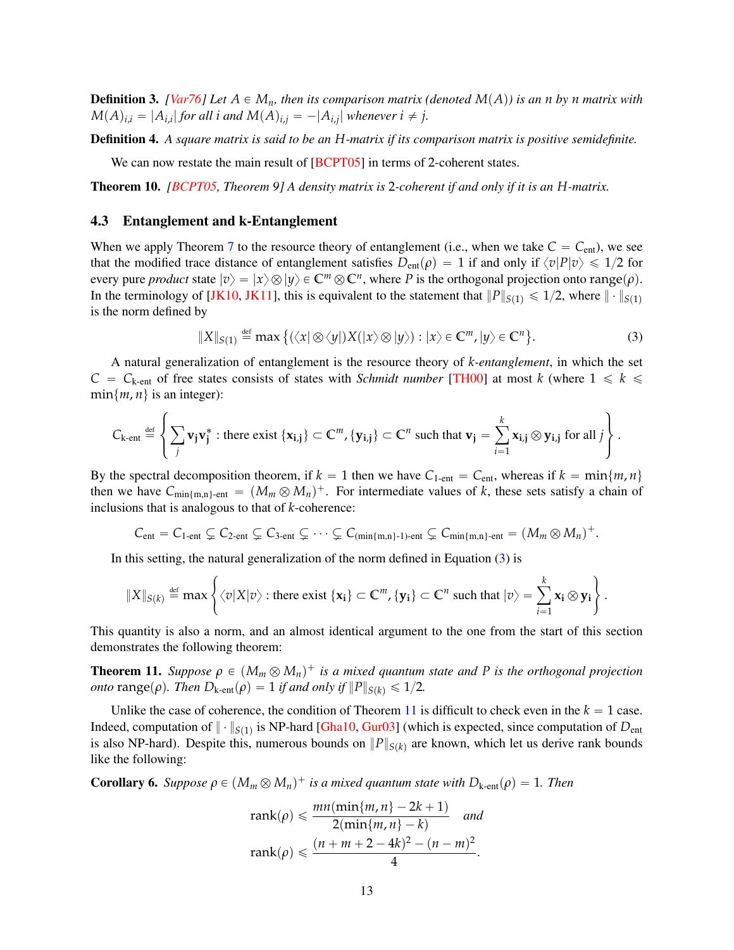**Definition 3.** *[\[Var76\]](#page-17-6)* Let  $A \in M_n$ *, then its comparison matrix (denoted*  $M(A)$ ) *is an n by n matrix with*  $M(A)_{i,i} = |A_{i,i}|$  for all *i* and  $M(A)_{i,j} = -|A_{i,j}|$  whenever  $i \neq j$ .

Definition 4. *A square matrix is said to be an H-matrix if its comparison matrix is positive semidefinite.*

We can now restate the main result of  $[BCPT05]$  in terms of 2-coherent states.

Theorem 10. *[\[BCPT05,](#page-15-7) Theorem 9] A density matrix is* 2*-coherent if and only if it is an H-matrix.*

#### 4.3 Entanglement and k-Entanglement

When we apply Theorem [7](#page-8-1) to the resource theory of entanglement (i.e., when we take  $C = C_{ent}$ ), we see that the modified trace distance of entanglement satisfies  $D_{\text{ent}}(\rho) = 1$  if and only if  $\langle v|P|v \rangle \le 1/2$  for every pure *product* state  $|v\rangle = |x\rangle \otimes |y\rangle \in \mathbb{C}^m \otimes \mathbb{C}^n$ , where *P* is the orthogonal projection onto range $(\rho)$ . In the terminology of [\[JK10,](#page-16-10) [JK11\]](#page-16-11), this is equivalent to the statement that  $||P||_{S(1)} \le 1/2$ , where  $|| \cdot ||_{S(1)}$ is the norm defined by

<span id="page-12-0"></span>
$$
||X||_{S(1)} \stackrel{\text{def}}{=} \max \left\{ (\langle x | \otimes \langle y |) X(|x\rangle \otimes |y\rangle) : |x\rangle \in \mathbb{C}^m, |y\rangle \in \mathbb{C}^n \right\}.
$$
 (3)

A natural generalization of entanglement is the resource theory of *k-entanglement*, in which the set  $C = C_{k\text{-ent}}$  of free states consists of states with *Schmidt number* [\[TH00\]](#page-17-7) at most *k* (where  $1 \le k \le k$  $min{m, n}$  is an integer):

$$
C_{k\text{-ent}} \stackrel{\text{def}}{=} \left\{ \sum_j \mathbf{v}_j \mathbf{v}_j^* : \text{there exist } \{ \mathbf{x}_{i,j} \} \subset \mathbb{C}^m, \{ \mathbf{y}_{i,j} \} \subset \mathbb{C}^n \text{ such that } \mathbf{v}_j = \sum_{i=1}^k \mathbf{x}_{i,j} \otimes \mathbf{y}_{i,j} \text{ for all } j \right\}.
$$

By the spectral decomposition theorem, if  $k = 1$  then we have  $C_{1-ent} = C_{ent}$ , whereas if  $k = min\{m, n\}$ then we have  $C_{\min\{m,n\}-ent} = (M_m \otimes M_n)^+$ . For intermediate values of *k*, these sets satisfy a chain of inclusions that is analogous to that of *k*-coherence:

$$
C_{ent}=C_{1-ent}\subsetneq C_{2-ent}\subsetneq C_{3-ent}\subsetneq\cdots\subsetneq C_{(min\{m,n\}-1)-ent}\subsetneq C_{min\{m,n\}-ent}=(M_m\otimes M_n)^+.
$$

In this setting, the natural generalization of the norm defined in Equation  $(3)$  is

$$
\|X\|_{S(k)} \stackrel{\text{def}}{=} \max \left\{ \langle v | X | v \rangle : \text{there exist } \{x_i\} \subset \mathbb{C}^m, \{y_i\} \subset \mathbb{C}^n \text{ such that } |v\rangle = \sum_{i=1}^k x_i \otimes y_i \right\}.
$$

This quantity is also a norm, and an almost identical argument to the one from the start of this section demonstrates the following theorem:

<span id="page-12-1"></span>**Theorem 11.** *Suppose*  $\rho \in (M_m \otimes M_n)^+$  *is a mixed quantum state and P is the orthogonal projection onto* range( $\rho$ ). Then  $D_{k\text{-ent}}(\rho) = 1$  *if and only if*  $||P||_{S(k)} \le 1/2$ .

Unlike the case of coherence, the condition of Theorem [11](#page-12-1) is difficult to check even in the  $k = 1$  case. Indeed, computation of  $\|\cdot\|_{S(1)}$  is NP-hard [\[Gha10,](#page-15-8) [Gur03\]](#page-16-12) (which is expected, since computation of  $D_{ent}$ is also NP-hard). Despite this, numerous bounds on  $||P||_{S(k)}$  are known, which let us derive rank bounds like the following:

<span id="page-12-2"></span>**Corollary 6.** *Suppose*  $\rho \in (M_m \otimes M_n)^+$  *is a mixed quantum state with*  $D_{k\text{-ent}}(\rho) = 1$ *. Then* 

$$
rank(\rho) \leq \frac{mn(\min\{m, n\} - 2k + 1)}{2(\min\{m, n\} - k)} \quad \text{and}
$$

$$
rank(\rho) \leq \frac{(n + m + 2 - 4k)^2 - (n - m)^2}{4}.
$$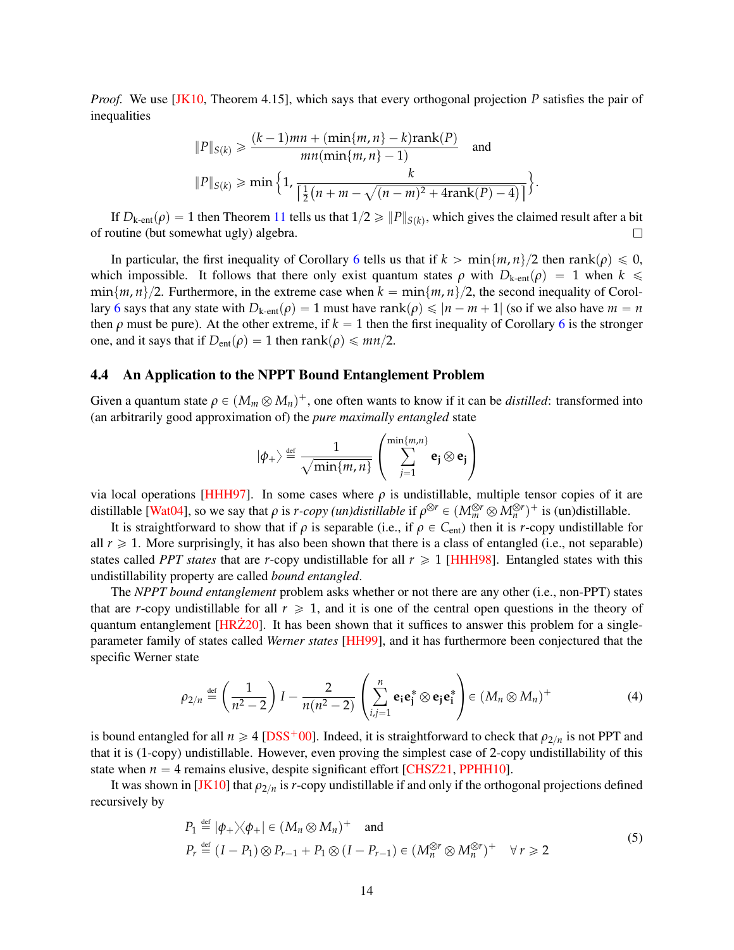*Proof.* We use [\[JK10,](#page-16-10) Theorem 4.15], which says that every orthogonal projection P satisfies the pair of inequalities

$$
||P||_{S(k)} \ge \frac{(k-1)mn + (\min\{m, n\} - k)\text{rank}(P)}{mn(\min\{m, n\} - 1)} \quad \text{and}
$$

$$
||P||_{S(k)} \ge \min\left\{1, \frac{k}{\left[\frac{1}{2}(n + m - \sqrt{(n-m)^2 + 4\text{rank}(P) - 4})\right]}\right\}.
$$

If  $D_{k\text{-ent}}(\rho) = 1$  then Theorem [11](#page-12-1) tells us that  $1/2 \geqslant ||P||_{S(k)}$ , which gives the claimed result after a bit of routine (but somewhat ugly) algebra.  $\Box$ 

In particular, the first inequality of Corollary [6](#page-12-2) tells us that if  $k > \min\{m, n\}/2$  then rank $(\rho) \leq 0$ , which impossible. It follows that there only exist quantum states  $\rho$  with  $D_{k\text{-ent}}(\rho) = 1$  when  $k \leq$  $\min\{m, n\}/2$ . Furthermore, in the extreme case when  $k = \min\{m, n\}/2$ , the second inequality of Corol-lary [6](#page-12-2) says that any state with  $D_{k\text{-ent}}(\rho) = 1$  must have rank $(\rho) \leq n - m + 1$  (so if we also have  $m = n$ then  $\rho$  must be pure). At the other extreme, if  $k = 1$  then the first inequality of Corollary [6](#page-12-2) is the stronger one, and it says that if  $D_{ent}(\rho) = 1$  then rank $(\rho) \leq m\eta/2$ .

## <span id="page-13-0"></span>4.4 An Application to the NPPT Bound Entanglement Problem

Given a quantum state  $\rho \in (M_m \otimes M_n)^+$ , one often wants to know if it can be *distilled*: transformed into (an arbitrarily good approximation of) the *pure maximally entangled* state

<span id="page-13-1"></span>
$$
|\phi_{+}\rangle \stackrel{\text{def}}{=} \frac{1}{\sqrt{\min\{m,n\}}} \left( \sum_{j=1}^{\min\{m,n\}} \mathbf{e_j} \otimes \mathbf{e_j} \right)
$$

via local operations [\[HHH97\]](#page-16-13). In some cases where *ρ* is undistillable, multiple tensor copies of it are distillable [\[Wat04\]](#page-17-8), so we say that  $\rho$  is *r-copy (un)distillable* if  $\rho^{\otimes r} \in (M_m^{\otimes r} \otimes M_n^{\otimes r})^+$  is (un)distillable.

It is straightforward to show that if  $\rho$  is separable (i.e., if  $\rho \in C_{ent}$ ) then it is *r*-copy undistillable for all  $r \geq 1$ . More surprisingly, it has also been shown that there is a class of entangled (i.e., not separable) states called *PPT states* that are *r*-copy undistillable for all  $r \ge 1$  [\[HHH98\]](#page-16-14). Entangled states with this undistillability property are called *bound entangled*.

The *NPPT bound entanglement* problem asks whether or not there are any other (i.e., non-PPT) states that are *r*-copy undistillable for all  $r \geq 1$ , and it is one of the central open questions in the theory of quantum entanglement  $[HRZ20]$  $[HRZ20]$ . It has been shown that it suffices to answer this problem for a singleparameter family of states called *Werner states* [\[HH99\]](#page-16-16), and it has furthermore been conjectured that the specific Werner state **Service** 

$$
\rho_{2/n} \stackrel{\text{def}}{=} \left(\frac{1}{n^2 - 2}\right) I - \frac{2}{n(n^2 - 2)} \left(\sum_{i,j=1}^n \mathbf{e}_i \mathbf{e}_j^* \otimes \mathbf{e}_j \mathbf{e}_i^*\right) \in (M_n \otimes M_n)^+ \tag{4}
$$

is bound entangled for all  $n \ge 4$  [\[DSS](#page-15-9)<sup>+</sup>00]. Indeed, it is straightforward to check that  $\rho_{2/n}$  is not PPT and that it is (1-copy) undistillable. However, even proving the simplest case of 2-copy undistillability of this state when  $n = 4$  remains elusive, despite significant effort [\[CHSZ21,](#page-15-10) [PPHH10\]](#page-16-17).

It was shown in [\[JK10\]](#page-16-10) that  $\rho_{2/n}$  is *r*-copy undistillable if and only if the orthogonal projections defined recursively by

<span id="page-13-2"></span>
$$
P_1 \stackrel{\text{def}}{=} |\phi_+ \times \phi_+| \in (M_n \otimes M_n)^+ \text{ and}
$$
  
\n
$$
P_r \stackrel{\text{def}}{=} (I - P_1) \otimes P_{r-1} + P_1 \otimes (I - P_{r-1}) \in (M_n^{\otimes r} \otimes M_n^{\otimes r})^+ \quad \forall r \ge 2
$$
\n(5)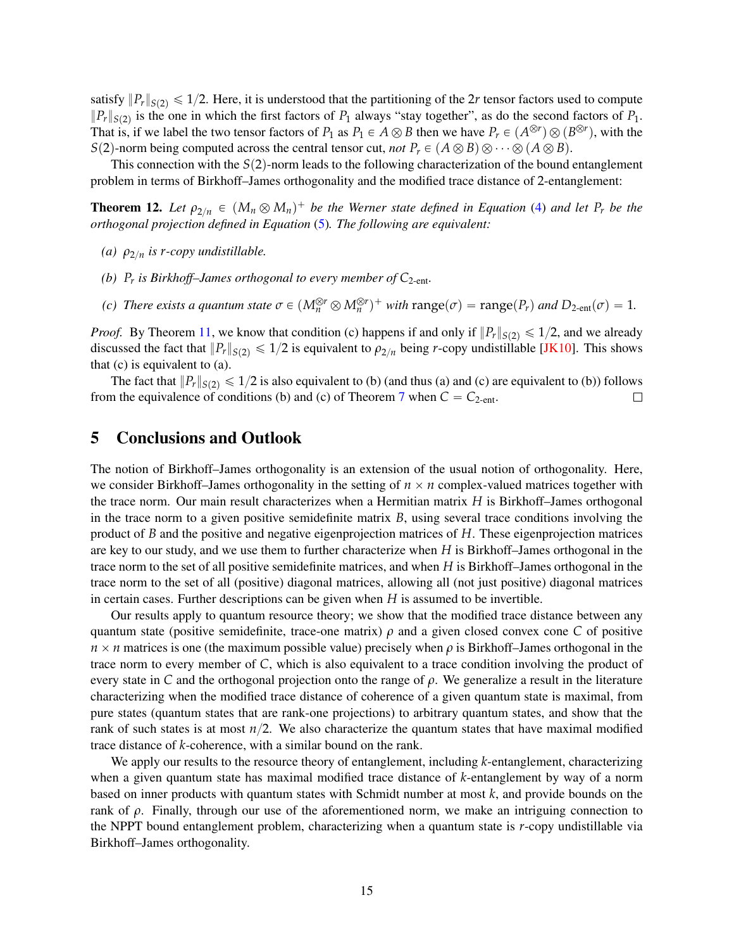satisfy  $||P_r||_{S(2)} \le 1/2$ . Here, it is understood that the partitioning of the 2*r* tensor factors used to compute  $||P_r||_{S(2)}$  is the one in which the first factors of  $P_1$  always "stay together", as do the second factors of  $P_1$ . That is, if we label the two tensor factors of  $P_1$  as  $P_1 \in A \otimes B$  then we have  $P_r \in (A^{\otimes r}) \otimes (B^{\otimes r})$ , with the *S*(2)-norm being computed across the central tensor cut, *not*  $P_r \in (A \otimes B) \otimes \cdots \otimes (A \otimes B)$ .

This connection with the  $S(2)$ -norm leads to the following characterization of the bound entanglement problem in terms of Birkhoff–James orthogonality and the modified trace distance of 2-entanglement:

**Theorem 12.** Let  $\rho_{2/n} \in (M_n \otimes M_n)^+$  be the Werner state defined in Equation [\(4\)](#page-13-1) and let  $P_r$  be the *orthogonal projection defined in Equation* [\(5\)](#page-13-2)*. The following are equivalent:*

- *(a)*  $\rho_{2/n}$  *is r-copy undistillable.*
- *(b)*  $P_r$  *is Birkhoff–James orthogonal to every member of*  $C_{2-ent}$ *.*
- *(c) There exists a quantum state*  $\sigma \in (M_n^{\otimes r} \otimes M_n^{\otimes r})^+$  *with*  $\text{range}(\sigma) = \text{range}(P_r)$  and  $D_{2\text{-ent}}(\sigma) = 1$ .

*Proof.* By Theorem [11,](#page-12-1) we know that condition (c) happens if and only if  $||P_r||_{S(2)} \le 1/2$ , and we already discussed the fact that  $||P_r||_{S(2)} \le 1/2$  is equivalent to  $\rho_{2/n}$  being *r*-copy undistillable [\[JK10\]](#page-16-10). This shows that (c) is equivalent to (a).

The fact that  $||P_r||_{S(2)} \le 1/2$  is also equivalent to (b) (and thus (a) and (c) are equivalent to (b)) follows from the equivalence of conditions (b) and (c) of Theorem [7](#page-8-1) when  $C = C_{2-\text{ent}}$ .  $\Box$ 

# <span id="page-14-0"></span>5 Conclusions and Outlook

The notion of Birkhoff–James orthogonality is an extension of the usual notion of orthogonality. Here, we consider Birkhoff–James orthogonality in the setting of  $n \times n$  complex-valued matrices together with the trace norm. Our main result characterizes when a Hermitian matrix *H* is Birkhoff–James orthogonal in the trace norm to a given positive semidefinite matrix *B*, using several trace conditions involving the product of *B* and the positive and negative eigenprojection matrices of *H*. These eigenprojection matrices are key to our study, and we use them to further characterize when *H* is Birkhoff–James orthogonal in the trace norm to the set of all positive semidefinite matrices, and when *H* is Birkhoff–James orthogonal in the trace norm to the set of all (positive) diagonal matrices, allowing all (not just positive) diagonal matrices in certain cases. Further descriptions can be given when *H* is assumed to be invertible.

Our results apply to quantum resource theory; we show that the modified trace distance between any quantum state (positive semidefinite, trace-one matrix)  $\rho$  and a given closed convex cone *C* of positive  $n \times n$  matrices is one (the maximum possible value) precisely when  $\rho$  is Birkhoff–James orthogonal in the trace norm to every member of *C*, which is also equivalent to a trace condition involving the product of every state in *C* and the orthogonal projection onto the range of *ρ*. We generalize a result in the literature characterizing when the modified trace distance of coherence of a given quantum state is maximal, from pure states (quantum states that are rank-one projections) to arbitrary quantum states, and show that the rank of such states is at most  $n/2$ . We also characterize the quantum states that have maximal modified trace distance of *k*-coherence, with a similar bound on the rank.

We apply our results to the resource theory of entanglement, including *k*-entanglement, characterizing when a given quantum state has maximal modified trace distance of *k*-entanglement by way of a norm based on inner products with quantum states with Schmidt number at most *k*, and provide bounds on the rank of  $ρ$ . Finally, through our use of the aforementioned norm, we make an intriguing connection to the NPPT bound entanglement problem, characterizing when a quantum state is *r*-copy undistillable via Birkhoff–James orthogonality.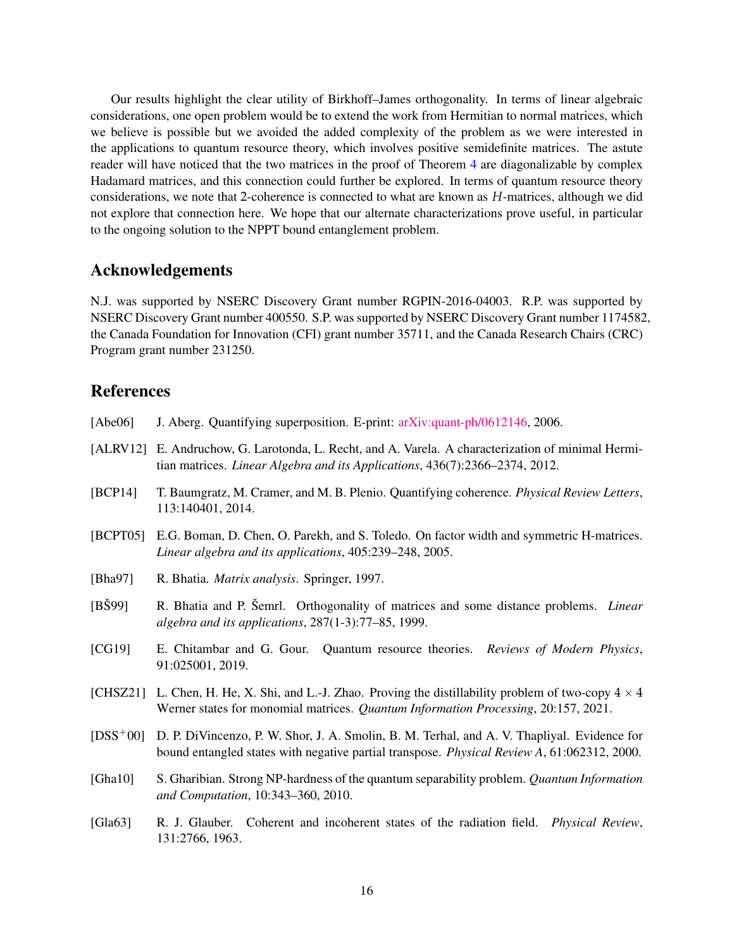Our results highlight the clear utility of Birkhoff–James orthogonality. In terms of linear algebraic considerations, one open problem would be to extend the work from Hermitian to normal matrices, which we believe is possible but we avoided the added complexity of the problem as we were interested in the applications to quantum resource theory, which involves positive semidefinite matrices. The astute reader will have noticed that the two matrices in the proof of Theorem [4](#page-4-1) are diagonalizable by complex Hadamard matrices, and this connection could further be explored. In terms of quantum resource theory considerations, we note that 2-coherence is connected to what are known as *H*-matrices, although we did not explore that connection here. We hope that our alternate characterizations prove useful, in particular to the ongoing solution to the NPPT bound entanglement problem.

# Acknowledgements

N.J. was supported by NSERC Discovery Grant number RGPIN-2016-04003. R.P. was supported by NSERC Discovery Grant number 400550. S.P. was supported by NSERC Discovery Grant number 1174582, the Canada Foundation for Innovation (CFI) grant number 35711, and the Canada Research Chairs (CRC) Program grant number 231250.

# References

- <span id="page-15-6"></span>[Abe06] J. Aberg. Quantifying superposition. E-print: [arXiv:quant-ph/0612146,](https://arxiv.org/abs/quant-ph/0612146) 2006.
- <span id="page-15-1"></span>[ALRV12] E. Andruchow, G. Larotonda, L. Recht, and A. Varela. A characterization of minimal Hermitian matrices. *Linear Algebra and its Applications*, 436(7):2366–2374, 2012.
- <span id="page-15-2"></span>[BCP14] T. Baumgratz, M. Cramer, and M. B. Plenio. Quantifying coherence. *Physical Review Letters*, 113:140401, 2014.
- <span id="page-15-7"></span>[BCPT05] E.G. Boman, D. Chen, O. Parekh, and S. Toledo. On factor width and symmetric H-matrices. *Linear algebra and its applications*, 405:239–248, 2005.
- <span id="page-15-4"></span>[Bha97] R. Bhatia. *Matrix analysis*. Springer, 1997.
- <span id="page-15-0"></span>[BŠ99] R. Bhatia and P. Šemrl. Orthogonality of matrices and some distance problems. *Linear algebra and its applications*, 287(1-3):77–85, 1999.
- <span id="page-15-5"></span>[CG19] E. Chitambar and G. Gour. Quantum resource theories. *Reviews of Modern Physics*, 91:025001, 2019.
- <span id="page-15-10"></span>[CHSZ21] L. Chen, H. He, X. Shi, and L.-J. Zhao. Proving the distillability problem of two-copy  $4 \times 4$ Werner states for monomial matrices. *Quantum Information Processing*, 20:157, 2021.
- <span id="page-15-9"></span>[DSS<sup>+</sup>00] D. P. DiVincenzo, P. W. Shor, J. A. Smolin, B. M. Terhal, and A. V. Thapliyal. Evidence for bound entangled states with negative partial transpose. *Physical Review A*, 61:062312, 2000.
- <span id="page-15-8"></span>[Gha10] S. Gharibian. Strong NP-hardness of the quantum separability problem. *Quantum Information and Computation*, 10:343–360, 2010.
- <span id="page-15-3"></span>[Gla63] R. J. Glauber. Coherent and incoherent states of the radiation field. *Physical Review*, 131:2766, 1963.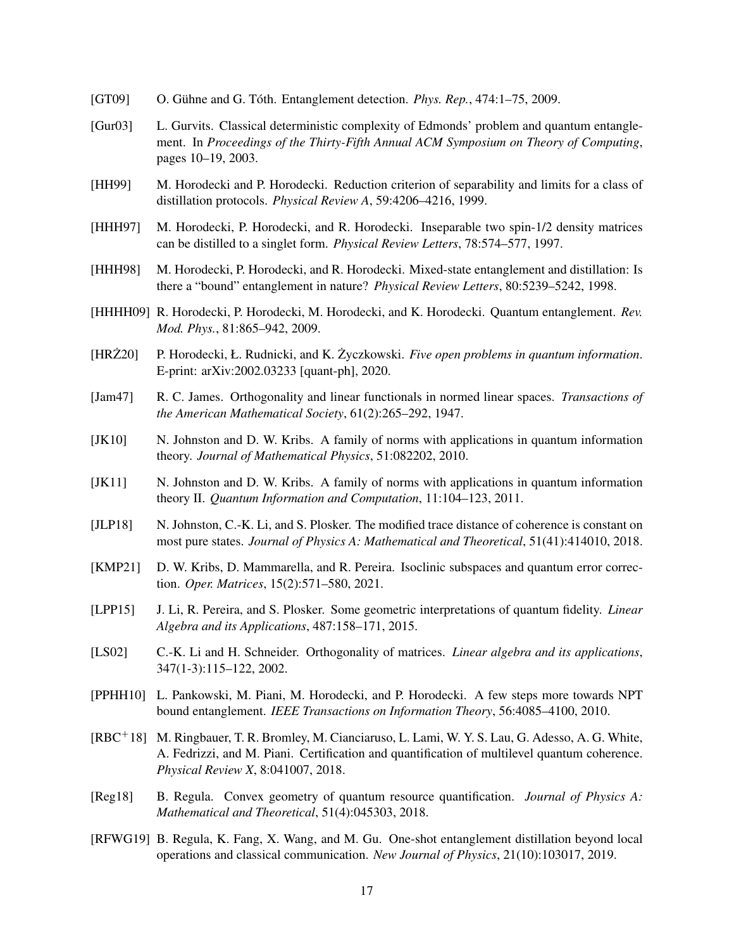- <span id="page-16-4"></span>[GT09] O. Gühne and G. Tóth. Entanglement detection. *Phys. Rep.*, 474:1–75, 2009.
- <span id="page-16-12"></span>[Gur03] L. Gurvits. Classical deterministic complexity of Edmonds' problem and quantum entanglement. In *Proceedings of the Thirty-Fifth Annual ACM Symposium on Theory of Computing*, pages 10–19, 2003.
- <span id="page-16-16"></span>[HH99] M. Horodecki and P. Horodecki. Reduction criterion of separability and limits for a class of distillation protocols. *Physical Review A*, 59:4206–4216, 1999.
- <span id="page-16-13"></span>[HHH97] M. Horodecki, P. Horodecki, and R. Horodecki. Inseparable two spin-1/2 density matrices can be distilled to a singlet form. *Physical Review Letters*, 78:574–577, 1997.
- <span id="page-16-14"></span>[HHH98] M. Horodecki, P. Horodecki, and R. Horodecki. Mixed-state entanglement and distillation: Is there a "bound" entanglement in nature? *Physical Review Letters*, 80:5239–5242, 1998.
- <span id="page-16-5"></span>[HHHH09] R. Horodecki, P. Horodecki, M. Horodecki, and K. Horodecki. Quantum entanglement. *Rev. Mod. Phys.*, 81:865–942, 2009.
- <span id="page-16-15"></span>[HRZ20] ˙ P. Horodecki, Ł. Rudnicki, and K. Zyczkowski. ˙ *Five open problems in quantum information*. E-print: arXiv:2002.03233 [quant-ph], 2020.
- <span id="page-16-0"></span>[Jam47] R. C. James. Orthogonality and linear functionals in normed linear spaces. *Transactions of the American Mathematical Society*, 61(2):265–292, 1947.
- <span id="page-16-10"></span>[JK10] N. Johnston and D. W. Kribs. A family of norms with applications in quantum information theory. *Journal of Mathematical Physics*, 51:082202, 2010.
- <span id="page-16-11"></span>[JK11] N. Johnston and D. W. Kribs. A family of norms with applications in quantum information theory II. *Quantum Information and Computation*, 11:104–123, 2011.
- <span id="page-16-3"></span>[JLP18] N. Johnston, C.-K. Li, and S. Plosker. The modified trace distance of coherence is constant on most pure states. *Journal of Physics A: Mathematical and Theoretical*, 51(41):414010, 2018.
- <span id="page-16-9"></span>[KMP21] D. W. Kribs, D. Mammarella, and R. Pereira. Isoclinic subspaces and quantum error correction. *Oper. Matrices*, 15(2):571–580, 2021.
- <span id="page-16-8"></span>[LPP15] J. Li, R. Pereira, and S. Plosker. Some geometric interpretations of quantum fidelity. *Linear Algebra and its Applications*, 487:158–171, 2015.
- <span id="page-16-1"></span>[LS02] C.-K. Li and H. Schneider. Orthogonality of matrices. *Linear algebra and its applications*, 347(1-3):115–122, 2002.
- <span id="page-16-17"></span>[PPHH10] L. Pankowski, M. Piani, M. Horodecki, and P. Horodecki. A few steps more towards NPT bound entanglement. *IEEE Transactions on Information Theory*, 56:4085–4100, 2010.
- <span id="page-16-7"></span>[RBC<sup>+</sup>18] M. Ringbauer, T. R. Bromley, M. Cianciaruso, L. Lami, W. Y. S. Lau, G. Adesso, A. G. White, A. Fedrizzi, and M. Piani. Certification and quantification of multilevel quantum coherence. *Physical Review X*, 8:041007, 2018.
- <span id="page-16-2"></span>[Reg18] B. Regula. Convex geometry of quantum resource quantification. *Journal of Physics A: Mathematical and Theoretical*, 51(4):045303, 2018.
- <span id="page-16-6"></span>[RFWG19] B. Regula, K. Fang, X. Wang, and M. Gu. One-shot entanglement distillation beyond local operations and classical communication. *New Journal of Physics*, 21(10):103017, 2019.